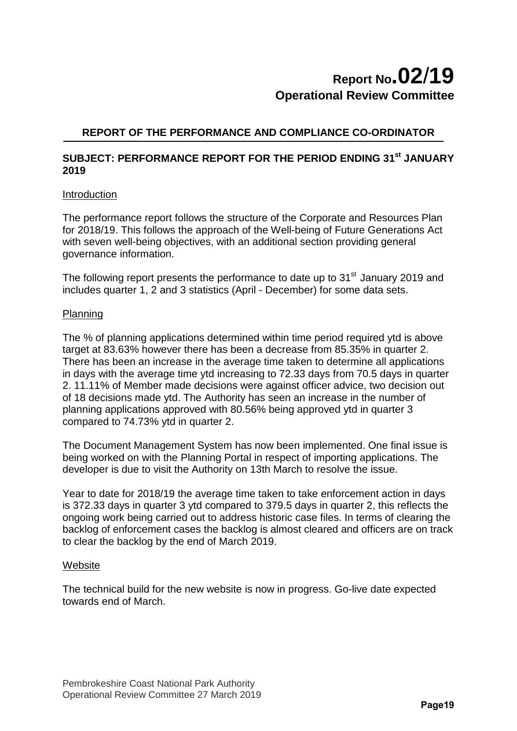# **Report No.02**/**19 Operational Review Committee**

### **REPORT OF THE PERFORMANCE AND COMPLIANCE CO-ORDINATOR**

#### **SUBJECT: PERFORMANCE REPORT FOR THE PERIOD ENDING 31st JANUARY 2019**

#### Introduction

The performance report follows the structure of the Corporate and Resources Plan for 2018/19. This follows the approach of the Well-being of Future Generations Act with seven well-being objectives, with an additional section providing general governance information.

The following report presents the performance to date up to  $31<sup>st</sup>$  January 2019 and includes quarter 1, 2 and 3 statistics (April - December) for some data sets.

#### Planning

The % of planning applications determined within time period required ytd is above target at 83.63% however there has been a decrease from 85.35% in quarter 2. There has been an increase in the average time taken to determine all applications in days with the average time ytd increasing to 72.33 days from 70.5 days in quarter 2. 11.11% of Member made decisions were against officer advice, two decision out of 18 decisions made ytd. The Authority has seen an increase in the number of planning applications approved with 80.56% being approved ytd in quarter 3 compared to 74.73% ytd in quarter 2.

The Document Management System has now been implemented. One final issue is being worked on with the Planning Portal in respect of importing applications. The developer is due to visit the Authority on 13th March to resolve the issue.

Year to date for 2018/19 the average time taken to take enforcement action in days is 372.33 days in quarter 3 ytd compared to 379.5 days in quarter 2, this reflects the ongoing work being carried out to address historic case files. In terms of clearing the backlog of enforcement cases the backlog is almost cleared and officers are on track to clear the backlog by the end of March 2019.

#### **Website**

The technical build for the new website is now in progress. Go-live date expected towards end of March.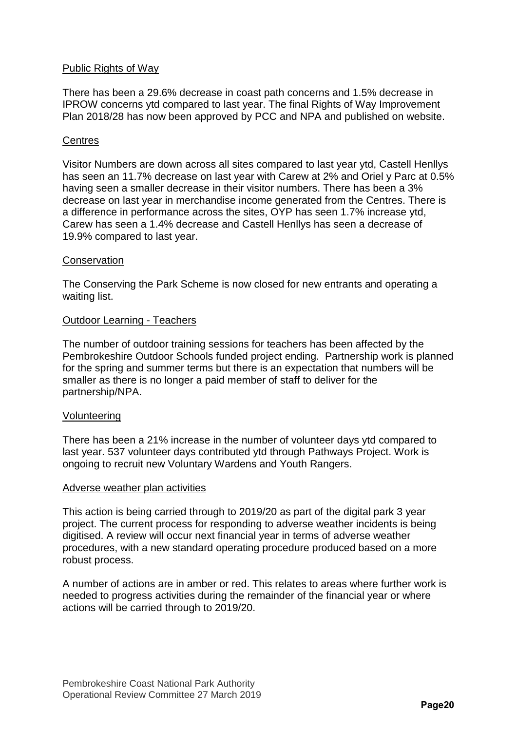#### Public Rights of Way

There has been a 29.6% decrease in coast path concerns and 1.5% decrease in IPROW concerns ytd compared to last year. The final Rights of Way Improvement Plan 2018/28 has now been approved by PCC and NPA and published on website.

#### **Centres**

Visitor Numbers are down across all sites compared to last year ytd, Castell Henllys has seen an 11.7% decrease on last year with Carew at 2% and Oriel y Parc at 0.5% having seen a smaller decrease in their visitor numbers. There has been a 3% decrease on last year in merchandise income generated from the Centres. There is a difference in performance across the sites, OYP has seen 1.7% increase ytd, Carew has seen a 1.4% decrease and Castell Henllys has seen a decrease of 19.9% compared to last year.

#### **Conservation**

The Conserving the Park Scheme is now closed for new entrants and operating a waiting list.

#### Outdoor Learning - Teachers

The number of outdoor training sessions for teachers has been affected by the Pembrokeshire Outdoor Schools funded project ending. Partnership work is planned for the spring and summer terms but there is an expectation that numbers will be smaller as there is no longer a paid member of staff to deliver for the partnership/NPA.

#### Volunteering

There has been a 21% increase in the number of volunteer days ytd compared to last year. 537 volunteer days contributed ytd through Pathways Project. Work is ongoing to recruit new Voluntary Wardens and Youth Rangers.

#### Adverse weather plan activities

This action is being carried through to 2019/20 as part of the digital park 3 year project. The current process for responding to adverse weather incidents is being digitised. A review will occur next financial year in terms of adverse weather procedures, with a new standard operating procedure produced based on a more robust process.

A number of actions are in amber or red. This relates to areas where further work is needed to progress activities during the remainder of the financial year or where actions will be carried through to 2019/20.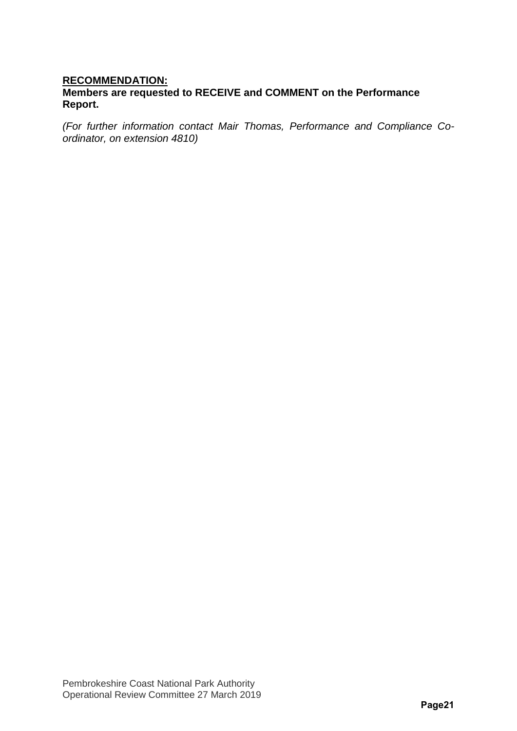#### **RECOMMENDATION: Members are requested to RECEIVE and COMMENT on the Performance Report.**

*(For further information contact Mair Thomas, Performance and Compliance Coordinator, on extension 4810)*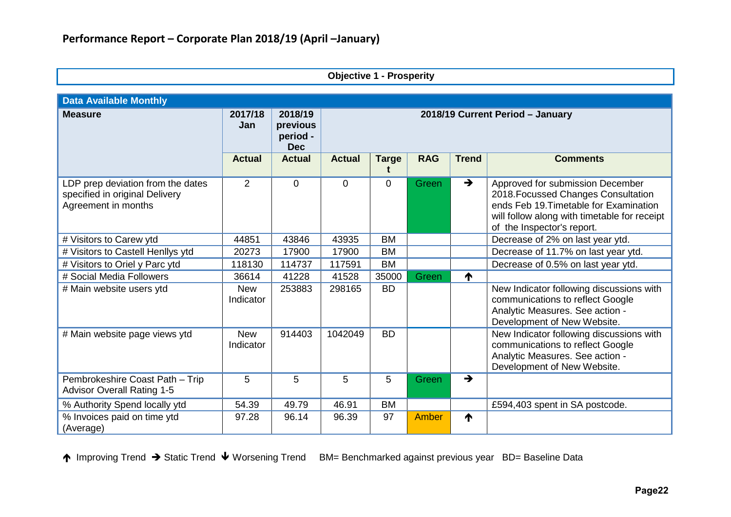| <b>Objective 1 - Prosperity</b>                                                            |                         |                                               |                                  |              |              |               |                                                                                                                                                                                                 |  |  |  |  |
|--------------------------------------------------------------------------------------------|-------------------------|-----------------------------------------------|----------------------------------|--------------|--------------|---------------|-------------------------------------------------------------------------------------------------------------------------------------------------------------------------------------------------|--|--|--|--|
| <b>Data Available Monthly</b>                                                              |                         |                                               |                                  |              |              |               |                                                                                                                                                                                                 |  |  |  |  |
| <b>Measure</b>                                                                             | 2017/18<br>Jan          | 2018/19<br>previous<br>period -<br><b>Dec</b> | 2018/19 Current Period - January |              |              |               |                                                                                                                                                                                                 |  |  |  |  |
|                                                                                            | <b>Actual</b>           | <b>Actual</b>                                 | <b>Actual</b>                    | <b>Targe</b> | <b>RAG</b>   | <b>Trend</b>  | <b>Comments</b>                                                                                                                                                                                 |  |  |  |  |
| LDP prep deviation from the dates<br>specified in original Delivery<br>Agreement in months | $\overline{2}$          | $\Omega$                                      | $\overline{0}$                   | $\Omega$     | Green        | $\rightarrow$ | Approved for submission December<br>2018. Focussed Changes Consultation<br>ends Feb 19. Timetable for Examination<br>will follow along with timetable for receipt<br>of the Inspector's report. |  |  |  |  |
| # Visitors to Carew ytd                                                                    | 44851                   | 43846                                         | 43935                            | <b>BM</b>    |              |               | Decrease of 2% on last year ytd.                                                                                                                                                                |  |  |  |  |
| # Visitors to Castell Henllys ytd                                                          | 20273                   | 17900                                         | 17900                            | <b>BM</b>    |              |               | Decrease of 11.7% on last year ytd.                                                                                                                                                             |  |  |  |  |
| # Visitors to Oriel y Parc ytd                                                             | 118130                  | 114737                                        | 117591                           | <b>BM</b>    |              |               | Decrease of 0.5% on last year ytd.                                                                                                                                                              |  |  |  |  |
| # Social Media Followers                                                                   | 36614                   | 41228                                         | 41528                            | 35000        | Green        | ↑             |                                                                                                                                                                                                 |  |  |  |  |
| # Main website users ytd                                                                   | <b>New</b><br>Indicator | 253883                                        | 298165                           | <b>BD</b>    |              |               | New Indicator following discussions with<br>communications to reflect Google<br>Analytic Measures. See action -<br>Development of New Website.                                                  |  |  |  |  |
| # Main website page views ytd                                                              | <b>New</b><br>Indicator | 914403                                        | 1042049                          | <b>BD</b>    |              |               | New Indicator following discussions with<br>communications to reflect Google<br>Analytic Measures. See action -<br>Development of New Website.                                                  |  |  |  |  |
| Pembrokeshire Coast Path - Trip<br><b>Advisor Overall Rating 1-5</b>                       | 5                       | 5                                             | 5                                | 5            | Green        | $\rightarrow$ |                                                                                                                                                                                                 |  |  |  |  |
| % Authority Spend locally ytd                                                              | 54.39                   | 49.79                                         | 46.91                            | <b>BM</b>    |              |               | £594,403 spent in SA postcode.                                                                                                                                                                  |  |  |  |  |
| % Invoices paid on time ytd<br>(Average)                                                   | 97.28                   | 96.14                                         | 96.39                            | 97           | <b>Amber</b> | ₼             |                                                                                                                                                                                                 |  |  |  |  |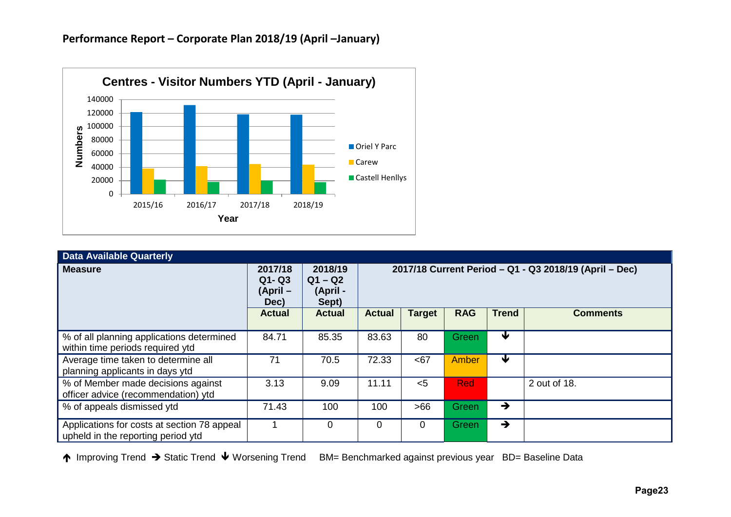

| <b>Data Available Quarterly</b>                                                   |                                         |                                           |                                                        |               |              |              |                 |  |  |  |  |
|-----------------------------------------------------------------------------------|-----------------------------------------|-------------------------------------------|--------------------------------------------------------|---------------|--------------|--------------|-----------------|--|--|--|--|
| <b>Measure</b>                                                                    | 2017/18<br>$Q1 - Q3$<br>(April-<br>Dec) | 2018/19<br>$Q1 - Q2$<br>(April -<br>Sept) | 2017/18 Current Period - Q1 - Q3 2018/19 (April - Dec) |               |              |              |                 |  |  |  |  |
|                                                                                   | <b>Actual</b>                           | <b>Actual</b>                             | <b>Actual</b>                                          | <b>Target</b> | <b>RAG</b>   | <b>Trend</b> | <b>Comments</b> |  |  |  |  |
| % of all planning applications determined<br>within time periods required ytd     | 84.71                                   | 85.35                                     | 83.63                                                  | 80            | Green        | ₩            |                 |  |  |  |  |
| Average time taken to determine all<br>planning applicants in days ytd            | 71                                      | 70.5                                      | 72.33                                                  | <67           | Amber        | ₩            |                 |  |  |  |  |
| % of Member made decisions against<br>officer advice (recommendation) ytd         | 3.13                                    | 9.09                                      | 11.11                                                  | $<$ 5         | <b>Red</b>   |              | 2 out of 18.    |  |  |  |  |
| % of appeals dismissed ytd                                                        | 71.43                                   | 100                                       | 100                                                    | >66           | Green        | →            |                 |  |  |  |  |
| Applications for costs at section 78 appeal<br>upheld in the reporting period ytd |                                         | 0                                         | 0                                                      | $\mathbf 0$   | <b>Green</b> | →            |                 |  |  |  |  |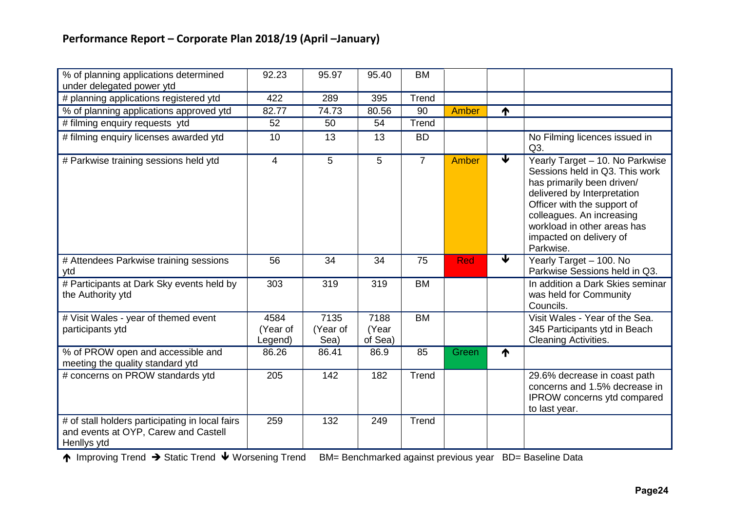| % of planning applications determined<br>under delegated power ytd                                     | 92.23                       | 95.97                    | 95.40                    | <b>BM</b>      |            |                         |                                                                                                                                                                                                                                                                   |
|--------------------------------------------------------------------------------------------------------|-----------------------------|--------------------------|--------------------------|----------------|------------|-------------------------|-------------------------------------------------------------------------------------------------------------------------------------------------------------------------------------------------------------------------------------------------------------------|
| # planning applications registered ytd                                                                 | 422                         | 289                      | 395                      | Trend          |            |                         |                                                                                                                                                                                                                                                                   |
| % of planning applications approved ytd                                                                | 82.77                       | 74.73                    | 80.56                    | 90             | Amber      | 个                       |                                                                                                                                                                                                                                                                   |
| # filming enquiry requests ytd                                                                         | 52                          | 50                       | 54                       | Trend          |            |                         |                                                                                                                                                                                                                                                                   |
| # filming enquiry licenses awarded ytd                                                                 | 10                          | 13                       | 13                       | <b>BD</b>      |            |                         | No Filming licences issued in<br>Q3.                                                                                                                                                                                                                              |
| # Parkwise training sessions held ytd                                                                  | $\overline{4}$              | 5                        | 5                        | $\overline{7}$ | Amber      | ✔                       | Yearly Target - 10. No Parkwise<br>Sessions held in Q3. This work<br>has primarily been driven/<br>delivered by Interpretation<br>Officer with the support of<br>colleagues. An increasing<br>workload in other areas has<br>impacted on delivery of<br>Parkwise. |
| # Attendees Parkwise training sessions<br>ytd                                                          | 56                          | 34                       | 34                       | 75             | <b>Red</b> | $\overline{\mathbf{v}}$ | Yearly Target - 100. No<br>Parkwise Sessions held in Q3.                                                                                                                                                                                                          |
| # Participants at Dark Sky events held by<br>the Authority ytd                                         | 303                         | 319                      | 319                      | <b>BM</b>      |            |                         | In addition a Dark Skies seminar<br>was held for Community<br>Councils.                                                                                                                                                                                           |
| # Visit Wales - year of themed event<br>participants ytd                                               | 4584<br>(Year of<br>Legend) | 7135<br>(Year of<br>Sea) | 7188<br>(Year<br>of Sea) | <b>BM</b>      |            |                         | Visit Wales - Year of the Sea.<br>345 Participants ytd in Beach<br>Cleaning Activities.                                                                                                                                                                           |
| % of PROW open and accessible and<br>meeting the quality standard ytd                                  | 86.26                       | 86.41                    | 86.9                     | 85             | Green      | 个                       |                                                                                                                                                                                                                                                                   |
| # concerns on PROW standards ytd                                                                       | 205                         | 142                      | 182                      | Trend          |            |                         | 29.6% decrease in coast path<br>concerns and 1.5% decrease in<br>IPROW concerns ytd compared<br>to last year.                                                                                                                                                     |
| # of stall holders participating in local fairs<br>and events at OYP, Carew and Castell<br>Henllys ytd | 259                         | 132                      | 249                      | Trend          |            |                         |                                                                                                                                                                                                                                                                   |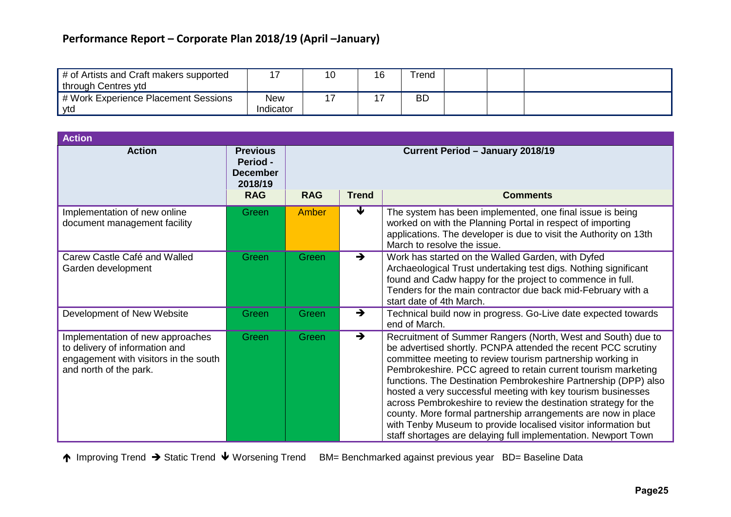| # of Artists and Craft makers supported<br>through Centres ytd |                  | 16 | Trend |  |  |
|----------------------------------------------------------------|------------------|----|-------|--|--|
| # Work Experience Placement Sessions<br>ytd                    | New<br>Indicator |    | ВC    |  |  |

| <b>Action</b>                                                                                                                         |                                                           |                                  |               |                                                                                                                                                                                                                                                                                                                                                                                                                                                                                                                                                                                                                                                                         |  |  |
|---------------------------------------------------------------------------------------------------------------------------------------|-----------------------------------------------------------|----------------------------------|---------------|-------------------------------------------------------------------------------------------------------------------------------------------------------------------------------------------------------------------------------------------------------------------------------------------------------------------------------------------------------------------------------------------------------------------------------------------------------------------------------------------------------------------------------------------------------------------------------------------------------------------------------------------------------------------------|--|--|
| <b>Action</b>                                                                                                                         | <b>Previous</b><br>Period -<br><b>December</b><br>2018/19 | Current Period - January 2018/19 |               |                                                                                                                                                                                                                                                                                                                                                                                                                                                                                                                                                                                                                                                                         |  |  |
|                                                                                                                                       | <b>RAG</b>                                                | <b>RAG</b>                       | <b>Trend</b>  | <b>Comments</b>                                                                                                                                                                                                                                                                                                                                                                                                                                                                                                                                                                                                                                                         |  |  |
| Implementation of new online<br>document management facility                                                                          | Green                                                     | Amber                            | ₩             | The system has been implemented, one final issue is being<br>worked on with the Planning Portal in respect of importing<br>applications. The developer is due to visit the Authority on 13th<br>March to resolve the issue.                                                                                                                                                                                                                                                                                                                                                                                                                                             |  |  |
| Carew Castle Café and Walled<br>Garden development                                                                                    | Green                                                     | Green                            | $\rightarrow$ | Work has started on the Walled Garden, with Dyfed<br>Archaeological Trust undertaking test digs. Nothing significant<br>found and Cadw happy for the project to commence in full.<br>Tenders for the main contractor due back mid-February with a<br>start date of 4th March.                                                                                                                                                                                                                                                                                                                                                                                           |  |  |
| Development of New Website                                                                                                            | Green                                                     | Green                            | $\rightarrow$ | Technical build now in progress. Go-Live date expected towards<br>end of March.                                                                                                                                                                                                                                                                                                                                                                                                                                                                                                                                                                                         |  |  |
| Implementation of new approaches<br>to delivery of information and<br>engagement with visitors in the south<br>and north of the park. | Green                                                     | Green                            | $\rightarrow$ | Recruitment of Summer Rangers (North, West and South) due to<br>be advertised shortly. PCNPA attended the recent PCC scrutiny<br>committee meeting to review tourism partnership working in<br>Pembrokeshire. PCC agreed to retain current tourism marketing<br>functions. The Destination Pembrokeshire Partnership (DPP) also<br>hosted a very successful meeting with key tourism businesses<br>across Pembrokeshire to review the destination strategy for the<br>county. More formal partnership arrangements are now in place<br>with Tenby Museum to provide localised visitor information but<br>staff shortages are delaying full implementation. Newport Town |  |  |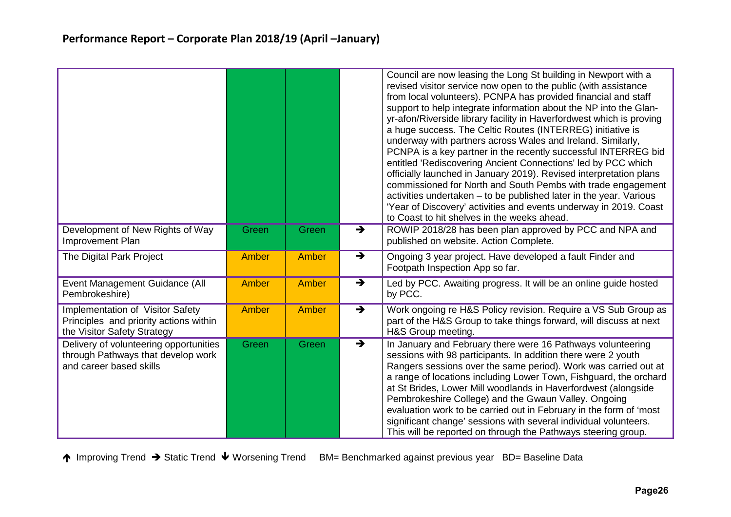|                                                                                                           |              |              |               | Council are now leasing the Long St building in Newport with a<br>revised visitor service now open to the public (with assistance<br>from local volunteers). PCNPA has provided financial and staff<br>support to help integrate information about the NP into the Glan-<br>yr-afon/Riverside library facility in Haverfordwest which is proving<br>a huge success. The Celtic Routes (INTERREG) initiative is<br>underway with partners across Wales and Ireland. Similarly,<br>PCNPA is a key partner in the recently successful INTERREG bid<br>entitled 'Rediscovering Ancient Connections' led by PCC which<br>officially launched in January 2019). Revised interpretation plans<br>commissioned for North and South Pembs with trade engagement<br>activities undertaken - to be published later in the year. Various<br>'Year of Discovery' activities and events underway in 2019. Coast<br>to Coast to hit shelves in the weeks ahead. |
|-----------------------------------------------------------------------------------------------------------|--------------|--------------|---------------|--------------------------------------------------------------------------------------------------------------------------------------------------------------------------------------------------------------------------------------------------------------------------------------------------------------------------------------------------------------------------------------------------------------------------------------------------------------------------------------------------------------------------------------------------------------------------------------------------------------------------------------------------------------------------------------------------------------------------------------------------------------------------------------------------------------------------------------------------------------------------------------------------------------------------------------------------|
| Development of New Rights of Way<br>Improvement Plan                                                      | Green        | Green        | $\rightarrow$ | ROWIP 2018/28 has been plan approved by PCC and NPA and<br>published on website. Action Complete.                                                                                                                                                                                                                                                                                                                                                                                                                                                                                                                                                                                                                                                                                                                                                                                                                                                |
| The Digital Park Project                                                                                  | <b>Amber</b> | Amber        | $\rightarrow$ | Ongoing 3 year project. Have developed a fault Finder and<br>Footpath Inspection App so far.                                                                                                                                                                                                                                                                                                                                                                                                                                                                                                                                                                                                                                                                                                                                                                                                                                                     |
| Event Management Guidance (All<br>Pembrokeshire)                                                          | <b>Amber</b> | <b>Amber</b> | $\rightarrow$ | Led by PCC. Awaiting progress. It will be an online guide hosted<br>by PCC.                                                                                                                                                                                                                                                                                                                                                                                                                                                                                                                                                                                                                                                                                                                                                                                                                                                                      |
| Implementation of Visitor Safety<br>Principles and priority actions within<br>the Visitor Safety Strategy | <b>Amber</b> | Amber        | $\rightarrow$ | Work ongoing re H&S Policy revision. Require a VS Sub Group as<br>part of the H&S Group to take things forward, will discuss at next<br>H&S Group meeting.                                                                                                                                                                                                                                                                                                                                                                                                                                                                                                                                                                                                                                                                                                                                                                                       |
| Delivery of volunteering opportunities<br>through Pathways that develop work<br>and career based skills   | Green        | Green        | $\rightarrow$ | In January and February there were 16 Pathways volunteering<br>sessions with 98 participants. In addition there were 2 youth<br>Rangers sessions over the same period). Work was carried out at<br>a range of locations including Lower Town, Fishguard, the orchard<br>at St Brides, Lower Mill woodlands in Haverfordwest (alongside<br>Pembrokeshire College) and the Gwaun Valley. Ongoing<br>evaluation work to be carried out in February in the form of 'most<br>significant change' sessions with several individual volunteers.<br>This will be reported on through the Pathways steering group.                                                                                                                                                                                                                                                                                                                                        |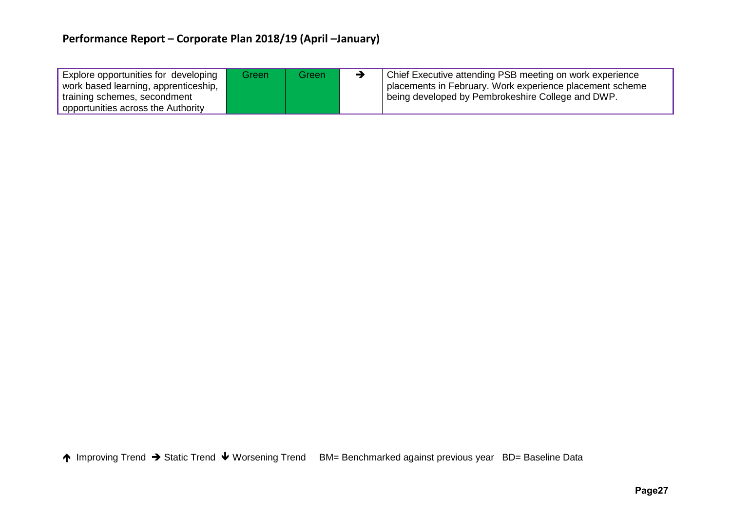| Explore opportunities for developing<br>work based learning, apprenticeship, | Green | Green | Chief Executive attending PSB meeting on work experience<br>placements in February. Work experience placement scheme |
|------------------------------------------------------------------------------|-------|-------|----------------------------------------------------------------------------------------------------------------------|
| training schemes, secondment                                                 |       |       | being developed by Pembrokeshire College and DWP.                                                                    |
| opportunities across the Authority                                           |       |       |                                                                                                                      |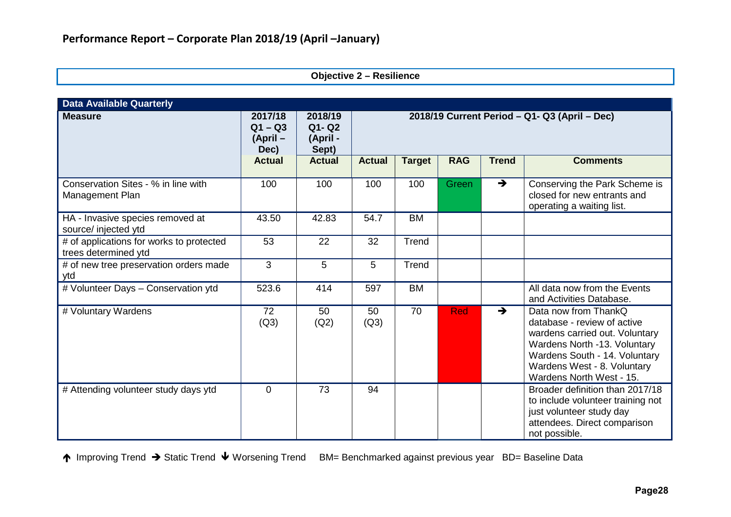|  | <b>Objective 2 - Resilience</b> |  |
|--|---------------------------------|--|
|--|---------------------------------|--|

| <b>Data Available Quarterly</b>                                  |                                          |                                           |                                               |               |            |               |                                                                                                                                                                                                                   |
|------------------------------------------------------------------|------------------------------------------|-------------------------------------------|-----------------------------------------------|---------------|------------|---------------|-------------------------------------------------------------------------------------------------------------------------------------------------------------------------------------------------------------------|
| <b>Measure</b>                                                   | 2017/18<br>$Q1 - Q3$<br>(April -<br>Dec) | 2018/19<br>$Q1 - Q2$<br>(April -<br>Sept) | 2018/19 Current Period - Q1- Q3 (April - Dec) |               |            |               |                                                                                                                                                                                                                   |
|                                                                  | <b>Actual</b>                            | <b>Actual</b>                             | <b>Actual</b>                                 | <b>Target</b> | <b>RAG</b> | <b>Trend</b>  | <b>Comments</b>                                                                                                                                                                                                   |
| Conservation Sites - % in line with<br>Management Plan           | 100                                      | 100                                       | 100                                           | 100           | Green      | $\rightarrow$ | Conserving the Park Scheme is<br>closed for new entrants and<br>operating a waiting list.                                                                                                                         |
| HA - Invasive species removed at<br>source/ injected ytd         | 43.50                                    | 42.83                                     | 54.7                                          | <b>BM</b>     |            |               |                                                                                                                                                                                                                   |
| # of applications for works to protected<br>trees determined ytd | 53                                       | 22                                        | 32                                            | Trend         |            |               |                                                                                                                                                                                                                   |
| # of new tree preservation orders made<br>ytd                    | 3                                        | 5                                         | 5                                             | Trend         |            |               |                                                                                                                                                                                                                   |
| # Volunteer Days - Conservation ytd                              | 523.6                                    | 414                                       | 597                                           | <b>BM</b>     |            |               | All data now from the Events<br>and Activities Database.                                                                                                                                                          |
| # Voluntary Wardens                                              | 72<br>(Q3)                               | 50<br>(Q2)                                | 50<br>(Q3)                                    | 70            | <b>Red</b> | $\rightarrow$ | Data now from ThankQ<br>database - review of active<br>wardens carried out. Voluntary<br>Wardens North -13. Voluntary<br>Wardens South - 14. Voluntary<br>Wardens West - 8. Voluntary<br>Wardens North West - 15. |
| # Attending volunteer study days ytd                             | $\mathbf 0$                              | 73                                        | 94                                            |               |            |               | Broader definition than 2017/18<br>to include volunteer training not<br>just volunteer study day<br>attendees. Direct comparison<br>not possible.                                                                 |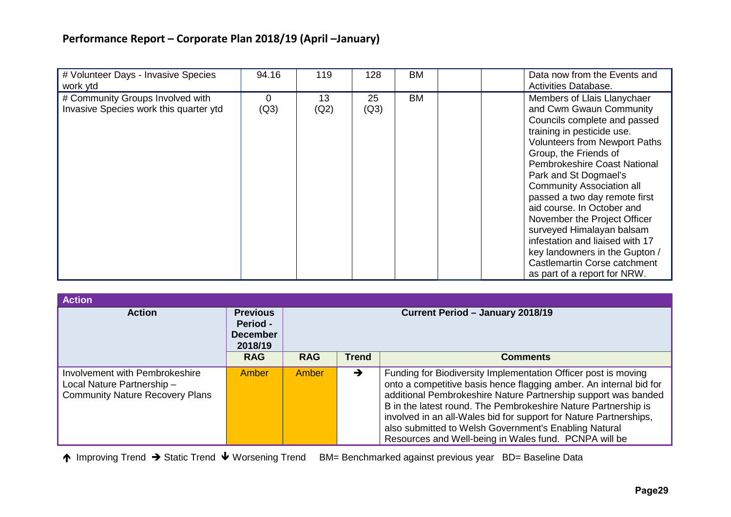| # Volunteer Days - Invasive Species<br>work ytd                            | 94.16            | 119        | 128        | BM        | Data now from the Events and<br>Activities Database.                                                                                                                                                                                                                                                                                                                                                                                                                                                                                                       |
|----------------------------------------------------------------------------|------------------|------------|------------|-----------|------------------------------------------------------------------------------------------------------------------------------------------------------------------------------------------------------------------------------------------------------------------------------------------------------------------------------------------------------------------------------------------------------------------------------------------------------------------------------------------------------------------------------------------------------------|
| # Community Groups Involved with<br>Invasive Species work this quarter ytd | $\Omega$<br>(Q3) | 13<br>(Q2) | 25<br>(Q3) | <b>BM</b> | Members of Llais Llanychaer<br>and Cwm Gwaun Community<br>Councils complete and passed<br>training in pesticide use.<br><b>Volunteers from Newport Paths</b><br>Group, the Friends of<br><b>Pembrokeshire Coast National</b><br>Park and St Dogmael's<br><b>Community Association all</b><br>passed a two day remote first<br>aid course. In October and<br>November the Project Officer<br>surveyed Himalayan balsam<br>infestation and liaised with 17<br>key landowners in the Gupton /<br>Castlemartin Corse catchment<br>as part of a report for NRW. |

| <b>Action</b>                                                                                          |                                                           |                                  |               |                                                                                                                                                                                                                                                                                                                                                                                                                                                                 |  |  |  |  |  |  |  |
|--------------------------------------------------------------------------------------------------------|-----------------------------------------------------------|----------------------------------|---------------|-----------------------------------------------------------------------------------------------------------------------------------------------------------------------------------------------------------------------------------------------------------------------------------------------------------------------------------------------------------------------------------------------------------------------------------------------------------------|--|--|--|--|--|--|--|
| <b>Action</b>                                                                                          | <b>Previous</b><br>Period -<br><b>December</b><br>2018/19 | Current Period - January 2018/19 |               |                                                                                                                                                                                                                                                                                                                                                                                                                                                                 |  |  |  |  |  |  |  |
|                                                                                                        | <b>RAG</b>                                                | <b>RAG</b>                       | <b>Trend</b>  | <b>Comments</b>                                                                                                                                                                                                                                                                                                                                                                                                                                                 |  |  |  |  |  |  |  |
| Involvement with Pembrokeshire<br>Local Nature Partnership -<br><b>Community Nature Recovery Plans</b> | Amber                                                     | Amber                            | $\rightarrow$ | Funding for Biodiversity Implementation Officer post is moving<br>onto a competitive basis hence flagging amber. An internal bid for<br>additional Pembrokeshire Nature Partnership support was banded<br>B in the latest round. The Pembrokeshire Nature Partnership is<br>involved in an all-Wales bid for support for Nature Partnerships,<br>also submitted to Welsh Government's Enabling Natural<br>Resources and Well-being in Wales fund. PCNPA will be |  |  |  |  |  |  |  |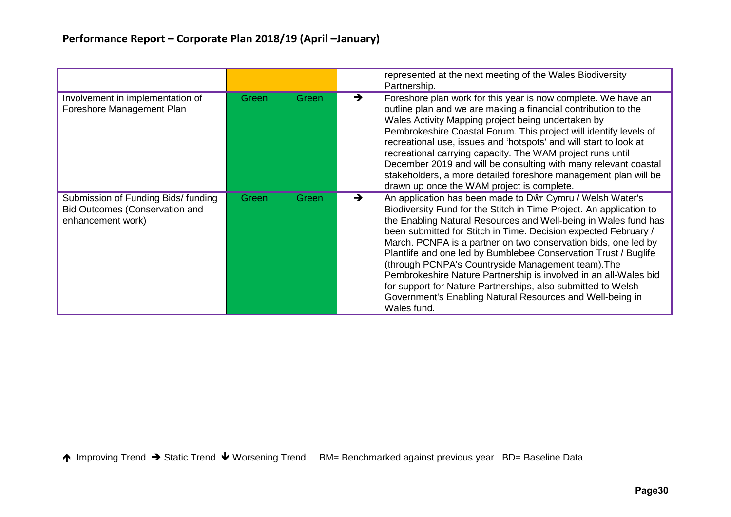|                                                                                                   |       |       |               | represented at the next meeting of the Wales Biodiversity<br>Partnership.                                                                                                                                                                                                                                                                                                                                                                                                                                                                                                                                                                                                         |
|---------------------------------------------------------------------------------------------------|-------|-------|---------------|-----------------------------------------------------------------------------------------------------------------------------------------------------------------------------------------------------------------------------------------------------------------------------------------------------------------------------------------------------------------------------------------------------------------------------------------------------------------------------------------------------------------------------------------------------------------------------------------------------------------------------------------------------------------------------------|
| Involvement in implementation of<br>Foreshore Management Plan                                     | Green | Green | $\rightarrow$ | Foreshore plan work for this year is now complete. We have an<br>outline plan and we are making a financial contribution to the<br>Wales Activity Mapping project being undertaken by<br>Pembrokeshire Coastal Forum. This project will identify levels of<br>recreational use, issues and 'hotspots' and will start to look at<br>recreational carrying capacity. The WAM project runs until<br>December 2019 and will be consulting with many relevant coastal<br>stakeholders, a more detailed foreshore management plan will be<br>drawn up once the WAM project is complete.                                                                                                 |
| Submission of Funding Bids/ funding<br><b>Bid Outcomes (Conservation and</b><br>enhancement work) | Green | Green | $\rightarrow$ | An application has been made to Dŵr Cymru / Welsh Water's<br>Biodiversity Fund for the Stitch in Time Project. An application to<br>the Enabling Natural Resources and Well-being in Wales fund has<br>been submitted for Stitch in Time. Decision expected February /<br>March. PCNPA is a partner on two conservation bids, one led by<br>Plantlife and one led by Bumblebee Conservation Trust / Buglife<br>(through PCNPA's Countryside Management team). The<br>Pembrokeshire Nature Partnership is involved in an all-Wales bid<br>for support for Nature Partnerships, also submitted to Welsh<br>Government's Enabling Natural Resources and Well-being in<br>Wales fund. |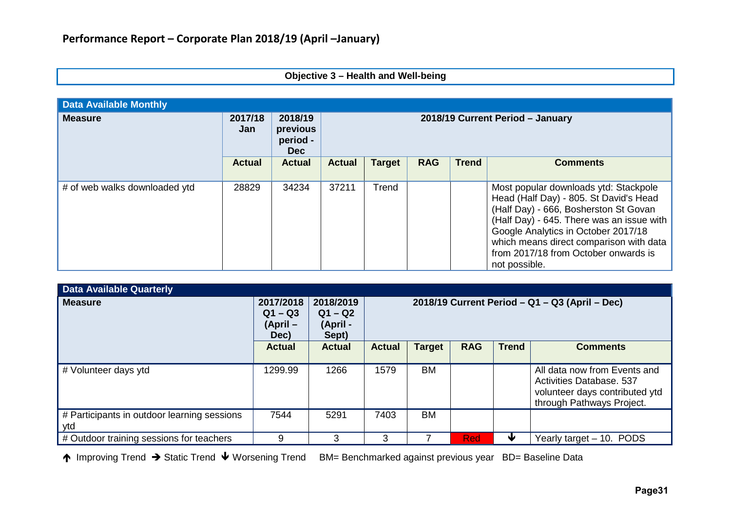### **Objective 3 – Health and Well-being**

| <b>Data Available Monthly</b> |                |                                               |                                  |               |            |              |                                                                                                                                                                                                                                                                                                                  |  |
|-------------------------------|----------------|-----------------------------------------------|----------------------------------|---------------|------------|--------------|------------------------------------------------------------------------------------------------------------------------------------------------------------------------------------------------------------------------------------------------------------------------------------------------------------------|--|
| <b>Measure</b>                | 2017/18<br>Jan | 2018/19<br>previous<br>period -<br><b>Dec</b> | 2018/19 Current Period - January |               |            |              |                                                                                                                                                                                                                                                                                                                  |  |
|                               | <b>Actual</b>  | <b>Actual</b>                                 | <b>Actual</b>                    | <b>Target</b> | <b>RAG</b> | <b>Trend</b> | <b>Comments</b>                                                                                                                                                                                                                                                                                                  |  |
| # of web walks downloaded ytd | 28829          | 34234                                         | 37211                            | Trend         |            |              | Most popular downloads ytd: Stackpole<br>Head (Half Day) - 805. St David's Head<br>(Half Day) - 666, Bosherston St Govan<br>(Half Day) - 645. There was an issue with<br>Google Analytics in October 2017/18<br>which means direct comparison with data<br>from 2017/18 from October onwards is<br>not possible. |  |

| <b>Data Available Quarterly</b>                    |                                            |                                             |                                                      |               |            |              |                                                                                                                         |
|----------------------------------------------------|--------------------------------------------|---------------------------------------------|------------------------------------------------------|---------------|------------|--------------|-------------------------------------------------------------------------------------------------------------------------|
| <b>Measure</b>                                     | 2017/2018<br>$Q1 - Q3$<br>(April –<br>Dec) | 2018/2019<br>$Q1 - Q2$<br>(April -<br>Sept) | 2018/19 Current Period $-$ Q1 $-$ Q3 (April $-$ Dec) |               |            |              |                                                                                                                         |
|                                                    | <b>Actual</b>                              | <b>Actual</b>                               | <b>Actual</b>                                        | <b>Target</b> | <b>RAG</b> | <b>Trend</b> | <b>Comments</b>                                                                                                         |
| # Volunteer days ytd                               | 1299.99                                    | 1266                                        | 1579                                                 | <b>BM</b>     |            |              | All data now from Events and<br>Activities Database, 537<br>volunteer days contributed ytd<br>through Pathways Project. |
| # Participants in outdoor learning sessions<br>ytd | 7544                                       | 5291                                        | 7403                                                 | <b>BM</b>     |            |              |                                                                                                                         |
| # Outdoor training sessions for teachers           | 9                                          | 3                                           | 3                                                    |               | <b>Red</b> |              | Yearly target - 10. PODS                                                                                                |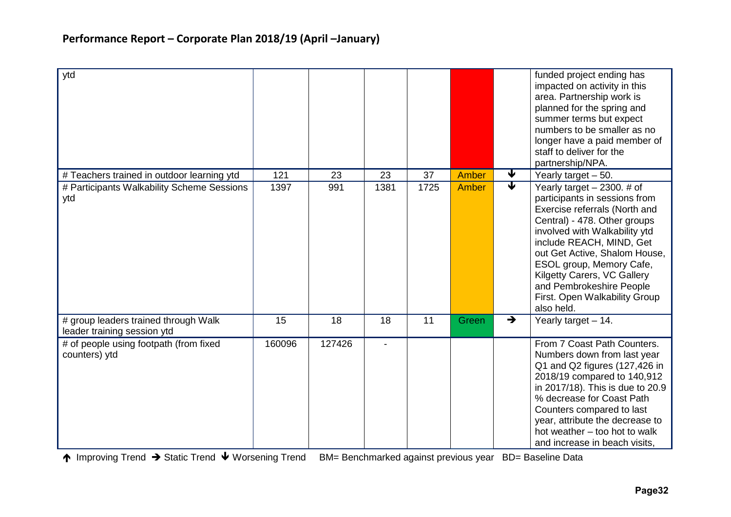| ytd                                                                 |        |        |      |      |       |                         | funded project ending has<br>impacted on activity in this<br>area. Partnership work is<br>planned for the spring and<br>summer terms but expect<br>numbers to be smaller as no<br>longer have a paid member of<br>staff to deliver for the<br>partnership/NPA.                                                                                                    |
|---------------------------------------------------------------------|--------|--------|------|------|-------|-------------------------|-------------------------------------------------------------------------------------------------------------------------------------------------------------------------------------------------------------------------------------------------------------------------------------------------------------------------------------------------------------------|
| # Teachers trained in outdoor learning ytd                          | 121    | 23     | 23   | 37   | Amber | $\overline{\mathbf{v}}$ | Yearly target $-50$ .                                                                                                                                                                                                                                                                                                                                             |
| # Participants Walkability Scheme Sessions<br>ytd                   | 1397   | 991    | 1381 | 1725 | Amber | $\overline{\mathbf{v}}$ | Yearly target $-2300.$ # of<br>participants in sessions from<br>Exercise referrals (North and<br>Central) - 478. Other groups<br>involved with Walkability ytd<br>include REACH, MIND, Get<br>out Get Active, Shalom House,<br>ESOL group, Memory Cafe,<br>Kilgetty Carers, VC Gallery<br>and Pembrokeshire People<br>First. Open Walkability Group<br>also held. |
| # group leaders trained through Walk<br>leader training session ytd | 15     | 18     | 18   | 11   | Green | $\rightarrow$           | Yearly target - 14.                                                                                                                                                                                                                                                                                                                                               |
| # of people using footpath (from fixed<br>counters) ytd             | 160096 | 127426 |      |      |       |                         | From 7 Coast Path Counters.<br>Numbers down from last year<br>Q1 and Q2 figures (127,426 in<br>2018/19 compared to 140,912<br>in 2017/18). This is due to 20.9<br>% decrease for Coast Path<br>Counters compared to last<br>year, attribute the decrease to<br>hot weather - too hot to walk<br>and increase in beach visits,                                     |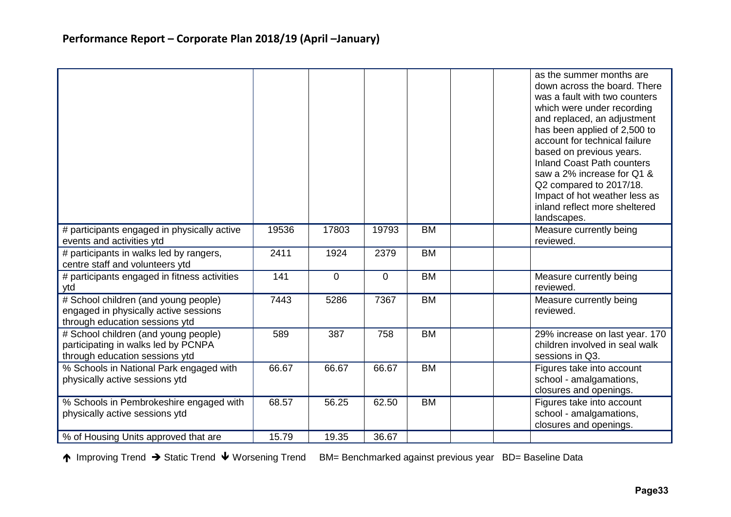|                                                                                                                 |       |       |                |                 | as the summer months are<br>down across the board. There<br>was a fault with two counters<br>which were under recording<br>and replaced, an adjustment<br>has been applied of 2,500 to<br>account for technical failure<br>based on previous years.<br><b>Inland Coast Path counters</b><br>saw a 2% increase for Q1 &<br>Q2 compared to 2017/18.<br>Impact of hot weather less as<br>inland reflect more sheltered<br>landscapes. |
|-----------------------------------------------------------------------------------------------------------------|-------|-------|----------------|-----------------|------------------------------------------------------------------------------------------------------------------------------------------------------------------------------------------------------------------------------------------------------------------------------------------------------------------------------------------------------------------------------------------------------------------------------------|
| # participants engaged in physically active<br>events and activities ytd                                        | 19536 | 17803 | 19793          | <b>BM</b>       | Measure currently being<br>reviewed.                                                                                                                                                                                                                                                                                                                                                                                               |
| # participants in walks led by rangers,<br>centre staff and volunteers ytd                                      | 2411  | 1924  | 2379           | $\overline{BM}$ |                                                                                                                                                                                                                                                                                                                                                                                                                                    |
| # participants engaged in fitness activities<br>ytd                                                             | 141   | 0     | $\overline{0}$ | <b>BM</b>       | Measure currently being<br>reviewed.                                                                                                                                                                                                                                                                                                                                                                                               |
| # School children (and young people)<br>engaged in physically active sessions<br>through education sessions ytd | 7443  | 5286  | 7367           | <b>BM</b>       | Measure currently being<br>reviewed.                                                                                                                                                                                                                                                                                                                                                                                               |
| # School children (and young people)<br>participating in walks led by PCNPA<br>through education sessions ytd   | 589   | 387   | 758            | <b>BM</b>       | 29% increase on last year. 170<br>children involved in seal walk<br>sessions in Q3.                                                                                                                                                                                                                                                                                                                                                |
| % Schools in National Park engaged with<br>physically active sessions ytd                                       | 66.67 | 66.67 | 66.67          | <b>BM</b>       | Figures take into account<br>school - amalgamations,<br>closures and openings.                                                                                                                                                                                                                                                                                                                                                     |
| % Schools in Pembrokeshire engaged with<br>physically active sessions ytd                                       | 68.57 | 56.25 | 62.50          | <b>BM</b>       | Figures take into account<br>school - amalgamations,<br>closures and openings.                                                                                                                                                                                                                                                                                                                                                     |
| % of Housing Units approved that are                                                                            | 15.79 | 19.35 | 36.67          |                 |                                                                                                                                                                                                                                                                                                                                                                                                                                    |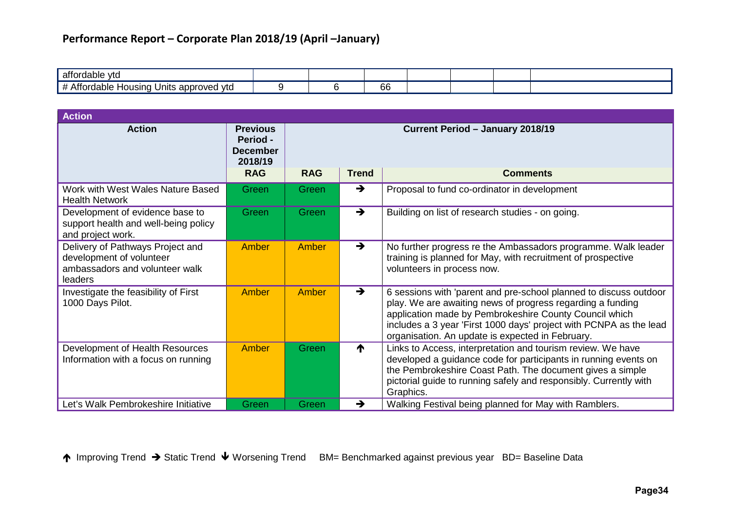| attordable<br>. vtc                                     |  |              |  |  |
|---------------------------------------------------------|--|--------------|--|--|
| I Units approved ytd<br>rdable<br>usına<br>ாபட<br>KJI 1 |  | $\sim$<br>oс |  |  |

| <b>Action</b>                                                                                             |                                                                                |                                                                                   |               |                                                                                                                                                                                                                                                                                                                     |  |  |  |
|-----------------------------------------------------------------------------------------------------------|--------------------------------------------------------------------------------|-----------------------------------------------------------------------------------|---------------|---------------------------------------------------------------------------------------------------------------------------------------------------------------------------------------------------------------------------------------------------------------------------------------------------------------------|--|--|--|
| <b>Action</b>                                                                                             | <b>Previous</b><br><b>Period -</b><br><b>December</b><br>2018/19<br><b>RAG</b> | Current Period - January 2018/19<br><b>RAG</b><br><b>Trend</b><br><b>Comments</b> |               |                                                                                                                                                                                                                                                                                                                     |  |  |  |
|                                                                                                           |                                                                                |                                                                                   |               |                                                                                                                                                                                                                                                                                                                     |  |  |  |
| Work with West Wales Nature Based<br><b>Health Network</b>                                                | Green                                                                          | Green                                                                             | $\rightarrow$ | Proposal to fund co-ordinator in development                                                                                                                                                                                                                                                                        |  |  |  |
| Development of evidence base to<br>support health and well-being policy<br>and project work.              | Green                                                                          | Green                                                                             | $\rightarrow$ | Building on list of research studies - on going.                                                                                                                                                                                                                                                                    |  |  |  |
| Delivery of Pathways Project and<br>development of volunteer<br>ambassadors and volunteer walk<br>leaders | Amber                                                                          | Amber                                                                             | $\rightarrow$ | No further progress re the Ambassadors programme. Walk leader<br>training is planned for May, with recruitment of prospective<br>volunteers in process now.                                                                                                                                                         |  |  |  |
| Investigate the feasibility of First<br>1000 Days Pilot.                                                  | Amber                                                                          | Amber                                                                             | $\rightarrow$ | 6 sessions with 'parent and pre-school planned to discuss outdoor<br>play. We are awaiting news of progress regarding a funding<br>application made by Pembrokeshire County Council which<br>includes a 3 year 'First 1000 days' project with PCNPA as the lead<br>organisation. An update is expected in February. |  |  |  |
| Development of Health Resources<br>Information with a focus on running                                    | Amber                                                                          | Green                                                                             | ↑             | Links to Access, interpretation and tourism review. We have<br>developed a guidance code for participants in running events on<br>the Pembrokeshire Coast Path. The document gives a simple<br>pictorial guide to running safely and responsibly. Currently with<br>Graphics.                                       |  |  |  |
| Let's Walk Pembrokeshire Initiative                                                                       | Green                                                                          | Green                                                                             | $\rightarrow$ | Walking Festival being planned for May with Ramblers.                                                                                                                                                                                                                                                               |  |  |  |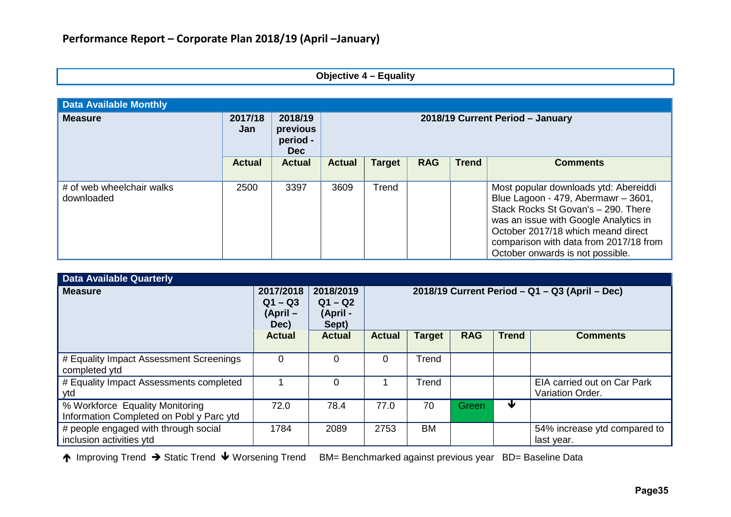| <b>Objective 4 - Equality</b> |  |  |  |
|-------------------------------|--|--|--|
|-------------------------------|--|--|--|

| <b>Data Available Monthly</b>           |                |                                               |                                  |               |            |              |                                                                                                                                                                                                                                                                                  |  |  |
|-----------------------------------------|----------------|-----------------------------------------------|----------------------------------|---------------|------------|--------------|----------------------------------------------------------------------------------------------------------------------------------------------------------------------------------------------------------------------------------------------------------------------------------|--|--|
| <b>Measure</b>                          | 2017/18<br>Jan | 2018/19<br>previous<br>period -<br><b>Dec</b> | 2018/19 Current Period - January |               |            |              |                                                                                                                                                                                                                                                                                  |  |  |
|                                         | <b>Actual</b>  | <b>Actual</b>                                 | <b>Actual</b>                    | <b>Target</b> | <b>RAG</b> | <b>Trend</b> | <b>Comments</b>                                                                                                                                                                                                                                                                  |  |  |
| # of web wheelchair walks<br>downloaded | 2500           | 3397                                          | 3609                             | Trend         |            |              | Most popular downloads ytd: Abereiddi<br>Blue Lagoon - 479, Abermawr - 3601,<br>Stack Rocks St Govan's - 290. There<br>was an issue with Google Analytics in<br>October 2017/18 which meand direct<br>comparison with data from 2017/18 from<br>October onwards is not possible. |  |  |

| <b>Data Available Quarterly</b>                                             |                                            |                                             |                                                  |               |            |              |                                                 |  |
|-----------------------------------------------------------------------------|--------------------------------------------|---------------------------------------------|--------------------------------------------------|---------------|------------|--------------|-------------------------------------------------|--|
| <b>Measure</b>                                                              | 2017/2018<br>$Q1 - Q3$<br>(April –<br>Dec) | 2018/2019<br>$Q1 - Q2$<br>(April -<br>Sept) | $2018/19$ Current Period – Q1 – Q3 (April – Dec) |               |            |              |                                                 |  |
|                                                                             | <b>Actual</b>                              | <b>Actual</b>                               | <b>Actual</b>                                    | <b>Target</b> | <b>RAG</b> | <b>Trend</b> | <b>Comments</b>                                 |  |
| # Equality Impact Assessment Screenings<br>completed ytd                    | 0                                          | 0                                           | $\Omega$                                         | Trend         |            |              |                                                 |  |
| # Equality Impact Assessments completed<br>ytd                              |                                            | 0                                           |                                                  | Trend         |            |              | EIA carried out on Car Park<br>Variation Order. |  |
| % Workforce Equality Monitoring<br>Information Completed on Pobl y Parc ytd | 72.0                                       | 78.4                                        | 77.0                                             | 70            | Green      | w            |                                                 |  |
| # people engaged with through social<br>inclusion activities ytd            | 1784                                       | 2089                                        | 2753                                             | <b>BM</b>     |            |              | 54% increase ytd compared to<br>last year.      |  |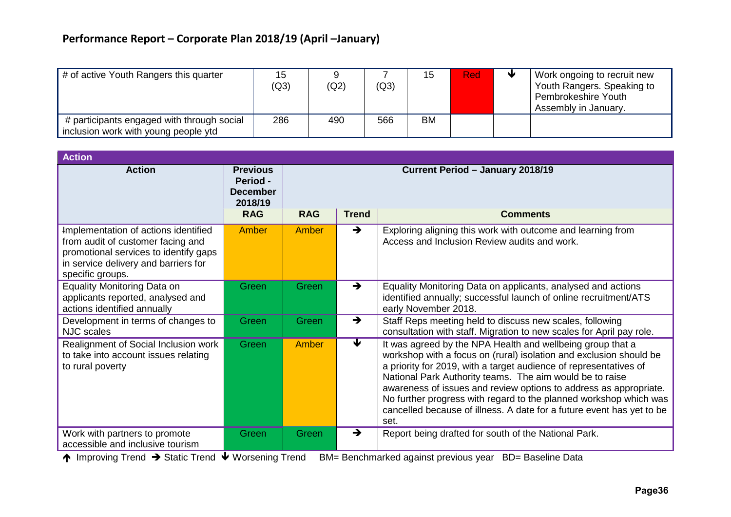| # of active Youth Rangers this quarter                                             | 15<br>(Q3) | (Q2) | (Q3) | 15        | Red | Work ongoing to recruit new<br>Youth Rangers. Speaking to<br>Pembrokeshire Youth<br>Assembly in January. |
|------------------------------------------------------------------------------------|------------|------|------|-----------|-----|----------------------------------------------------------------------------------------------------------|
| # participants engaged with through social<br>inclusion work with young people ytd | 286        | 490  | 566  | <b>BM</b> |     |                                                                                                          |

| <b>Action</b>                                                                                                                                                                  |                                                                         |            |                                                     |                                                                                                                                                                                                                                                                                                                                                                                                                                                                                              |
|--------------------------------------------------------------------------------------------------------------------------------------------------------------------------------|-------------------------------------------------------------------------|------------|-----------------------------------------------------|----------------------------------------------------------------------------------------------------------------------------------------------------------------------------------------------------------------------------------------------------------------------------------------------------------------------------------------------------------------------------------------------------------------------------------------------------------------------------------------------|
| <b>Action</b>                                                                                                                                                                  | <b>Previous</b><br>Period -<br><b>December</b><br>2018/19<br><b>RAG</b> | <b>RAG</b> | Current Period - January 2018/19<br><b>Comments</b> |                                                                                                                                                                                                                                                                                                                                                                                                                                                                                              |
| Implementation of actions identified<br>from audit of customer facing and<br>promotional services to identify gaps<br>in service delivery and barriers for<br>specific groups. | Amber                                                                   | Amber      | $\rightarrow$                                       | Exploring aligning this work with outcome and learning from<br>Access and Inclusion Review audits and work.                                                                                                                                                                                                                                                                                                                                                                                  |
| Equality Monitoring Data on<br>applicants reported, analysed and<br>actions identified annually                                                                                | Green                                                                   | Green      | $\rightarrow$                                       | Equality Monitoring Data on applicants, analysed and actions<br>identified annually; successful launch of online recruitment/ATS<br>early November 2018.                                                                                                                                                                                                                                                                                                                                     |
| Development in terms of changes to<br><b>NJC</b> scales                                                                                                                        | Green                                                                   | Green      | $\rightarrow$                                       | Staff Reps meeting held to discuss new scales, following<br>consultation with staff. Migration to new scales for April pay role.                                                                                                                                                                                                                                                                                                                                                             |
| Realignment of Social Inclusion work<br>to take into account issues relating<br>to rural poverty                                                                               | Green                                                                   | Amber      | $\blacktriangledown$                                | It was agreed by the NPA Health and wellbeing group that a<br>workshop with a focus on (rural) isolation and exclusion should be<br>a priority for 2019, with a target audience of representatives of<br>National Park Authority teams. The aim would be to raise<br>awareness of issues and review options to address as appropriate.<br>No further progress with regard to the planned workshop which was<br>cancelled because of illness. A date for a future event has yet to be<br>set. |
| Work with partners to promote<br>accessible and inclusive tourism                                                                                                              | Green<br>.                                                              | Green      | $\rightarrow$                                       | Report being drafted for south of the National Park.                                                                                                                                                                                                                                                                                                                                                                                                                                         |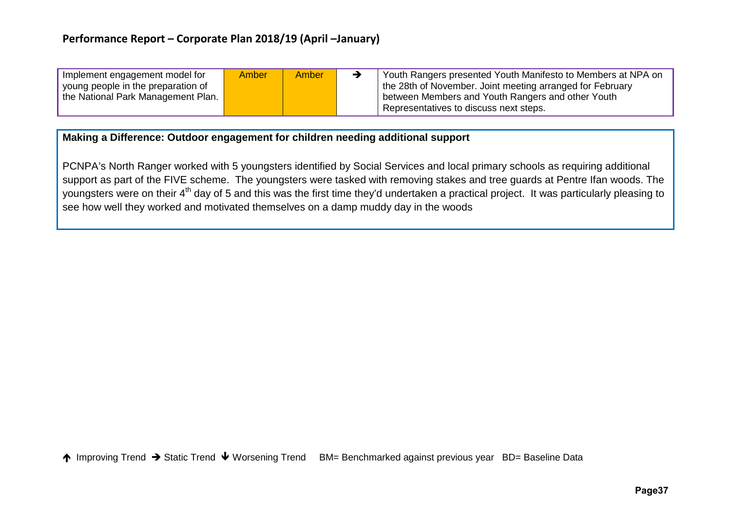| Implement engagement model for<br>young people in the preparation of | Amber | <b>Amber</b> | ゥ | Youth Rangers presented Youth Manifesto to Members at NPA on<br>the 28th of November. Joint meeting arranged for February |
|----------------------------------------------------------------------|-------|--------------|---|---------------------------------------------------------------------------------------------------------------------------|
| the National Park Management Plan.                                   |       |              |   | between Members and Youth Rangers and other Youth                                                                         |
|                                                                      |       |              |   | Representatives to discuss next steps.                                                                                    |

### **Making a Difference: Outdoor engagement for children needing additional support**

PCNPA's North Ranger worked with 5 youngsters identified by Social Services and local primary schools as requiring additional support as part of the FIVE scheme. The youngsters were tasked with removing stakes and tree guards at Pentre Ifan woods. The youngsters were on their 4<sup>th</sup> day of 5 and this was the first time they'd undertaken a practical project. It was particularly pleasing to see how well they worked and motivated themselves on a damp muddy day in the woods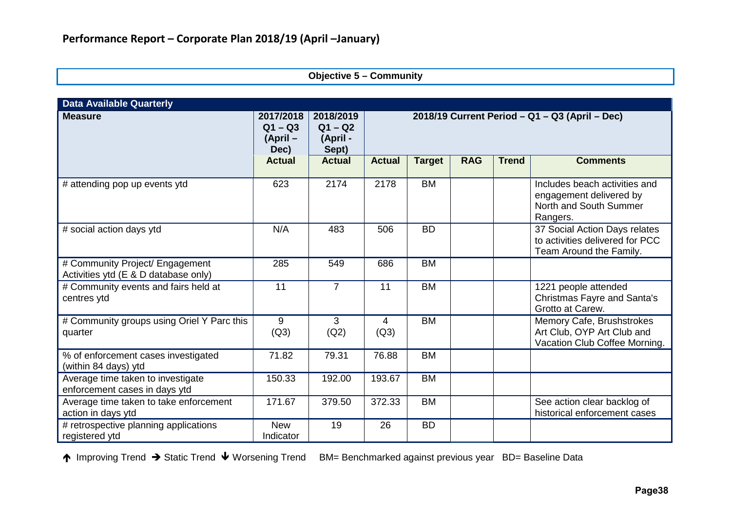### **Objective 5 – Community**

| <b>Data Available Quarterly</b>                                         |                                              |                                             |               |                                                      |            |              |                                                                                                |  |
|-------------------------------------------------------------------------|----------------------------------------------|---------------------------------------------|---------------|------------------------------------------------------|------------|--------------|------------------------------------------------------------------------------------------------|--|
| <b>Measure</b>                                                          | 2017/2018<br>$Q1 - Q3$<br>$(April -$<br>Dec) | 2018/2019<br>$Q1 - Q2$<br>(April -<br>Sept) |               | 2018/19 Current Period $-$ Q1 $-$ Q3 (April $-$ Dec) |            |              |                                                                                                |  |
|                                                                         | <b>Actual</b>                                | <b>Actual</b>                               | <b>Actual</b> | <b>Target</b>                                        | <b>RAG</b> | <b>Trend</b> | <b>Comments</b>                                                                                |  |
| # attending pop up events ytd                                           | 623                                          | 2174                                        | 2178          | <b>BM</b>                                            |            |              | Includes beach activities and<br>engagement delivered by<br>North and South Summer<br>Rangers. |  |
| # social action days ytd                                                | N/A                                          | 483                                         | 506           | <b>BD</b>                                            |            |              | 37 Social Action Days relates<br>to activities delivered for PCC<br>Team Around the Family.    |  |
| # Community Project/ Engagement<br>Activities ytd (E & D database only) | 285                                          | 549                                         | 686           | <b>BM</b>                                            |            |              |                                                                                                |  |
| # Community events and fairs held at<br>centres ytd                     | 11                                           | $\overline{7}$                              | 11            | <b>BM</b>                                            |            |              | 1221 people attended<br>Christmas Fayre and Santa's<br>Grotto at Carew.                        |  |
| # Community groups using Oriel Y Parc this<br>quarter                   | 9<br>(Q3)                                    | 3<br>(Q2)                                   | 4<br>(Q3)     | <b>BM</b>                                            |            |              | Memory Cafe, Brushstrokes<br>Art Club, OYP Art Club and<br>Vacation Club Coffee Morning.       |  |
| % of enforcement cases investigated<br>(within 84 days) ytd             | 71.82                                        | 79.31                                       | 76.88         | <b>BM</b>                                            |            |              |                                                                                                |  |
| Average time taken to investigate<br>enforcement cases in days ytd      | 150.33                                       | 192.00                                      | 193.67        | <b>BM</b>                                            |            |              |                                                                                                |  |
| Average time taken to take enforcement<br>action in days ytd            | 171.67                                       | 379.50                                      | 372.33        | <b>BM</b>                                            |            |              | See action clear backlog of<br>historical enforcement cases                                    |  |
| # retrospective planning applications<br>registered ytd                 | <b>New</b><br>Indicator                      | 19                                          | 26            | <b>BD</b>                                            |            |              |                                                                                                |  |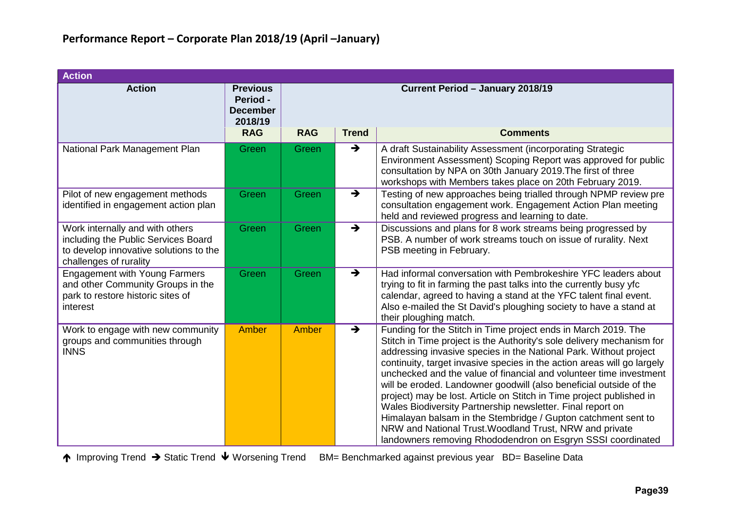| <b>Action</b>                                                                                                                              |                                                                  |                                  |               |                                                                                                                                                                                                                                                                                                                                                                                                                                                                                                                                                                                                                                                                                                                                                                      |  |  |  |  |
|--------------------------------------------------------------------------------------------------------------------------------------------|------------------------------------------------------------------|----------------------------------|---------------|----------------------------------------------------------------------------------------------------------------------------------------------------------------------------------------------------------------------------------------------------------------------------------------------------------------------------------------------------------------------------------------------------------------------------------------------------------------------------------------------------------------------------------------------------------------------------------------------------------------------------------------------------------------------------------------------------------------------------------------------------------------------|--|--|--|--|
| <b>Action</b>                                                                                                                              | <b>Previous</b><br><b>Period -</b><br><b>December</b><br>2018/19 | Current Period - January 2018/19 |               |                                                                                                                                                                                                                                                                                                                                                                                                                                                                                                                                                                                                                                                                                                                                                                      |  |  |  |  |
|                                                                                                                                            | <b>RAG</b>                                                       | <b>RAG</b>                       | <b>Trend</b>  | <b>Comments</b>                                                                                                                                                                                                                                                                                                                                                                                                                                                                                                                                                                                                                                                                                                                                                      |  |  |  |  |
| National Park Management Plan                                                                                                              | Green                                                            | Green                            | $\rightarrow$ | A draft Sustainability Assessment (incorporating Strategic<br>Environment Assessment) Scoping Report was approved for public<br>consultation by NPA on 30th January 2019. The first of three<br>workshops with Members takes place on 20th February 2019.                                                                                                                                                                                                                                                                                                                                                                                                                                                                                                            |  |  |  |  |
| Pilot of new engagement methods<br>identified in engagement action plan                                                                    | Green                                                            | Green                            | $\rightarrow$ | Testing of new approaches being trialled through NPMP review pre<br>consultation engagement work. Engagement Action Plan meeting<br>held and reviewed progress and learning to date.                                                                                                                                                                                                                                                                                                                                                                                                                                                                                                                                                                                 |  |  |  |  |
| Work internally and with others<br>including the Public Services Board<br>to develop innovative solutions to the<br>challenges of rurality | Green                                                            | Green                            | $\rightarrow$ | Discussions and plans for 8 work streams being progressed by<br>PSB. A number of work streams touch on issue of rurality. Next<br>PSB meeting in February.                                                                                                                                                                                                                                                                                                                                                                                                                                                                                                                                                                                                           |  |  |  |  |
| <b>Engagement with Young Farmers</b><br>and other Community Groups in the<br>park to restore historic sites of<br>interest                 | Green                                                            | Green                            | $\rightarrow$ | Had informal conversation with Pembrokeshire YFC leaders about<br>trying to fit in farming the past talks into the currently busy yfc<br>calendar, agreed to having a stand at the YFC talent final event.<br>Also e-mailed the St David's ploughing society to have a stand at<br>their ploughing match.                                                                                                                                                                                                                                                                                                                                                                                                                                                            |  |  |  |  |
| Work to engage with new community<br>groups and communities through<br><b>INNS</b>                                                         | <b>Amber</b>                                                     | Amber                            | $\rightarrow$ | Funding for the Stitch in Time project ends in March 2019. The<br>Stitch in Time project is the Authority's sole delivery mechanism for<br>addressing invasive species in the National Park. Without project<br>continuity, target invasive species in the action areas will go largely<br>unchecked and the value of financial and volunteer time investment<br>will be eroded. Landowner goodwill (also beneficial outside of the<br>project) may be lost. Article on Stitch in Time project published in<br>Wales Biodiversity Partnership newsletter. Final report on<br>Himalayan balsam in the Stembridge / Gupton catchment sent to<br>NRW and National Trust. Woodland Trust, NRW and private<br>landowners removing Rhododendron on Esgryn SSSI coordinated |  |  |  |  |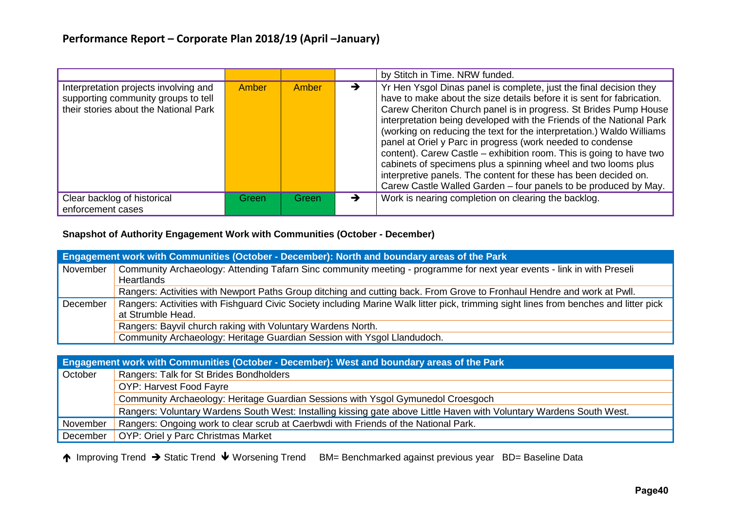|                                                                                                                       |       |       |   | by Stitch in Time. NRW funded.                                                                                                                                                                                                                                                                                                                                                                                                                                                                                                                                                                                                                                                                                 |
|-----------------------------------------------------------------------------------------------------------------------|-------|-------|---|----------------------------------------------------------------------------------------------------------------------------------------------------------------------------------------------------------------------------------------------------------------------------------------------------------------------------------------------------------------------------------------------------------------------------------------------------------------------------------------------------------------------------------------------------------------------------------------------------------------------------------------------------------------------------------------------------------------|
| Interpretation projects involving and<br>supporting community groups to tell<br>their stories about the National Park | Amber | Amber | → | Yr Hen Ysgol Dinas panel is complete, just the final decision they<br>have to make about the size details before it is sent for fabrication.<br>Carew Cheriton Church panel is in progress. St Brides Pump House<br>interpretation being developed with the Friends of the National Park<br>(working on reducing the text for the interpretation.) Waldo Williams<br>panel at Oriel y Parc in progress (work needed to condense<br>content). Carew Castle – exhibition room. This is going to have two<br>cabinets of specimens plus a spinning wheel and two looms plus<br>interpretive panels. The content for these has been decided on.<br>Carew Castle Walled Garden – four panels to be produced by May. |
| Clear backlog of historical<br>enforcement cases                                                                      | Green | Green |   | Work is nearing completion on clearing the backlog.                                                                                                                                                                                                                                                                                                                                                                                                                                                                                                                                                                                                                                                            |

#### **Snapshot of Authority Engagement Work with Communities (October - December)**

|          | Engagement work with Communities (October - December): North and boundary areas of the Park                                                                |
|----------|------------------------------------------------------------------------------------------------------------------------------------------------------------|
| November | Community Archaeology: Attending Tafarn Sinc community meeting - programme for next year events - link in with Preseli<br>Heartlands                       |
|          | Rangers: Activities with Newport Paths Group ditching and cutting back. From Grove to Fronhaul Hendre and work at Pwll.                                    |
| December | Rangers: Activities with Fishguard Civic Society including Marine Walk litter pick, trimming sight lines from benches and litter pick<br>at Strumble Head. |
|          | Rangers: Bayvil church raking with Voluntary Wardens North.                                                                                                |
|          | Community Archaeology: Heritage Guardian Session with Ysgol Llandudoch.                                                                                    |

|          | Engagement work with Communities (October - December): West and boundary areas of the Park                           |
|----------|----------------------------------------------------------------------------------------------------------------------|
| October  | Rangers: Talk for St Brides Bondholders                                                                              |
|          | OYP: Harvest Food Fayre                                                                                              |
|          | Community Archaeology: Heritage Guardian Sessions with Ysgol Gymunedol Croesgoch                                     |
|          | Rangers: Voluntary Wardens South West: Installing kissing gate above Little Haven with Voluntary Wardens South West. |
| November | Rangers: Ongoing work to clear scrub at Caerbwdi with Friends of the National Park.                                  |
| December | OYP: Oriel y Parc Christmas Market                                                                                   |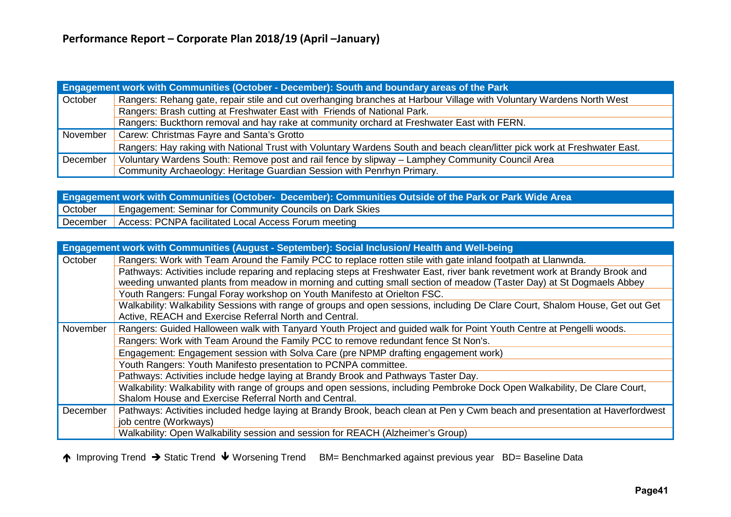|          | <b>Engagement work with Communities (October - December): South and boundary areas of the Park</b>                        |
|----------|---------------------------------------------------------------------------------------------------------------------------|
| October  | Rangers: Rehang gate, repair stile and cut overhanging branches at Harbour Village with Voluntary Wardens North West      |
|          | Rangers: Brash cutting at Freshwater East with Friends of National Park.                                                  |
|          | Rangers: Buckthorn removal and hay rake at community orchard at Freshwater East with FERN.                                |
| November | Carew: Christmas Fayre and Santa's Grotto                                                                                 |
|          | Rangers: Hay raking with National Trust with Voluntary Wardens South and beach clean/litter pick work at Freshwater East. |
| December | Voluntary Wardens South: Remove post and rail fence by slipway – Lamphey Community Council Area                           |
|          | Community Archaeology: Heritage Guardian Session with Penrhyn Primary.                                                    |

**Engagement work with Communities (October- December): Communities Outside of the Park or Park Wide Area Engagement: Seminar for Community Councils on Dark Skies** December | Access: PCNPA facilitated Local Access Forum meeting

|          | Engagement work with Communities (August - September): Social Inclusion/ Health and Well-being                                |
|----------|-------------------------------------------------------------------------------------------------------------------------------|
| October  | Rangers: Work with Team Around the Family PCC to replace rotten stile with gate inland footpath at Llanwnda.                  |
|          | Pathways: Activities include reparing and replacing steps at Freshwater East, river bank revetment work at Brandy Brook and   |
|          | weeding unwanted plants from meadow in morning and cutting small section of meadow (Taster Day) at St Dogmaels Abbey          |
|          | Youth Rangers: Fungal Foray workshop on Youth Manifesto at Orielton FSC.                                                      |
|          | Walkability: Walkability Sessions with range of groups and open sessions, including De Clare Court, Shalom House, Get out Get |
|          | Active, REACH and Exercise Referral North and Central.                                                                        |
| November | Rangers: Guided Halloween walk with Tanyard Youth Project and guided walk for Point Youth Centre at Pengelli woods.           |
|          | Rangers: Work with Team Around the Family PCC to remove redundant fence St Non's.                                             |
|          | Engagement: Engagement session with Solva Care (pre NPMP drafting engagement work)                                            |
|          | Youth Rangers: Youth Manifesto presentation to PCNPA committee.                                                               |
|          | Pathways: Activities include hedge laying at Brandy Brook and Pathways Taster Day.                                            |
|          | Walkability: Walkability with range of groups and open sessions, including Pembroke Dock Open Walkability, De Clare Court,    |
|          | Shalom House and Exercise Referral North and Central.                                                                         |
| December | Pathways: Activities included hedge laying at Brandy Brook, beach clean at Pen y Cwm beach and presentation at Haverfordwest  |
|          | job centre (Workways)                                                                                                         |
|          | Walkability: Open Walkability session and session for REACH (Alzheimer's Group)                                               |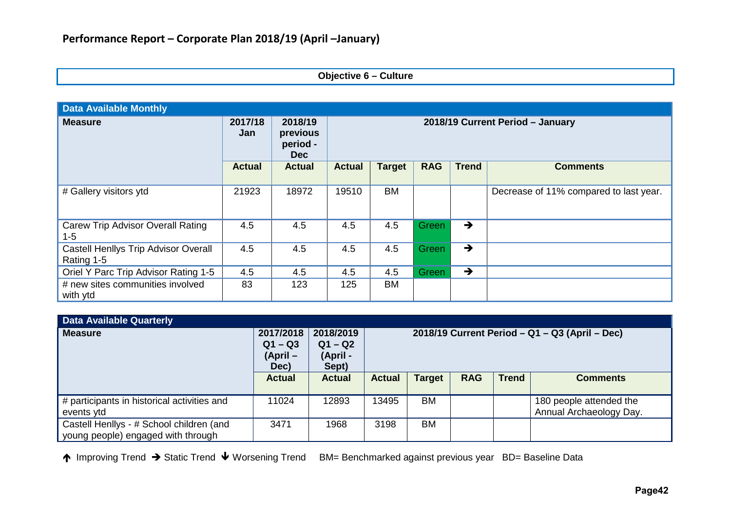### **Objective 6 – Culture**

| <b>Data Available Monthly</b>                             |                |                                               |                                  |               |            |               |                                        |  |  |
|-----------------------------------------------------------|----------------|-----------------------------------------------|----------------------------------|---------------|------------|---------------|----------------------------------------|--|--|
| <b>Measure</b>                                            | 2017/18<br>Jan | 2018/19<br>previous<br>period -<br><b>Dec</b> | 2018/19 Current Period - January |               |            |               |                                        |  |  |
|                                                           | <b>Actual</b>  | <b>Actual</b>                                 | <b>Actual</b>                    | <b>Target</b> | <b>RAG</b> | <b>Trend</b>  | <b>Comments</b>                        |  |  |
| # Gallery visitors ytd                                    | 21923          | 18972                                         | 19510                            | <b>BM</b>     |            |               | Decrease of 11% compared to last year. |  |  |
| <b>Carew Trip Advisor Overall Rating</b><br>$1 - 5$       | 4.5            | 4.5                                           | 4.5                              | 4.5           | Green      | $\rightarrow$ |                                        |  |  |
| <b>Castell Henllys Trip Advisor Overall</b><br>Rating 1-5 | 4.5            | 4.5                                           | 4.5                              | 4.5           | Green      | $\rightarrow$ |                                        |  |  |
| Oriel Y Parc Trip Advisor Rating 1-5                      | 4.5            | 4.5                                           | 4.5                              | 4.5           | Green      | $\rightarrow$ |                                        |  |  |
| # new sites communities involved<br>with ytd              | 83             | 123                                           | 125                              | BM            |            |               |                                        |  |  |

| <b>Data Available Quarterly</b>                                                |                                            |                                             |                                                  |               |            |              |                                                    |  |
|--------------------------------------------------------------------------------|--------------------------------------------|---------------------------------------------|--------------------------------------------------|---------------|------------|--------------|----------------------------------------------------|--|
| <b>Measure</b>                                                                 | 2017/2018<br>$Q1 - Q3$<br>(April –<br>Dec) | 2018/2019<br>$Q1 - Q2$<br>(April -<br>Sept) | $2018/19$ Current Period – Q1 – Q3 (April – Dec) |               |            |              |                                                    |  |
|                                                                                | <b>Actual</b>                              | <b>Actual</b>                               | <b>Actual</b>                                    | <b>Target</b> | <b>RAG</b> | <b>Trend</b> | <b>Comments</b>                                    |  |
| # participants in historical activities and<br>events ytd                      | 11024                                      | 12893                                       | 13495                                            | <b>BM</b>     |            |              | 180 people attended the<br>Annual Archaeology Day. |  |
| Castell Henllys - # School children (and<br>young people) engaged with through | 3471                                       | 1968                                        | 3198                                             | <b>BM</b>     |            |              |                                                    |  |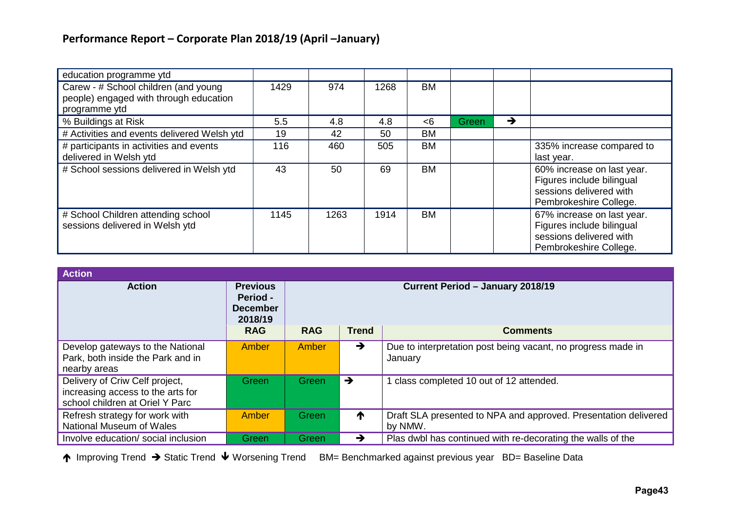| education programme ytd                                                                         |      |      |      |           |       |   |                                                                                                              |
|-------------------------------------------------------------------------------------------------|------|------|------|-----------|-------|---|--------------------------------------------------------------------------------------------------------------|
| Carew - # School children (and young<br>people) engaged with through education<br>programme ytd | 1429 | 974  | 1268 | <b>BM</b> |       |   |                                                                                                              |
| % Buildings at Risk                                                                             | 5.5  | 4.8  | 4.8  | $<$ 6     | Green | → |                                                                                                              |
| # Activities and events delivered Welsh ytd                                                     | 19   | 42   | 50   | <b>BM</b> |       |   |                                                                                                              |
| # participants in activities and events<br>delivered in Welsh ytd                               | 116  | 460  | 505  | <b>BM</b> |       |   | 335% increase compared to<br>last year.                                                                      |
| # School sessions delivered in Welsh ytd                                                        | 43   | 50   | 69   | <b>BM</b> |       |   | 60% increase on last year.<br>Figures include bilingual<br>sessions delivered with<br>Pembrokeshire College. |
| # School Children attending school<br>sessions delivered in Welsh ytd                           | 1145 | 1263 | 1914 | <b>BM</b> |       |   | 67% increase on last year.<br>Figures include bilingual<br>sessions delivered with<br>Pembrokeshire College. |

| <b>Action</b>                                                                                          |                                                           |                                  |               |                                                                            |  |  |  |  |  |  |  |  |  |
|--------------------------------------------------------------------------------------------------------|-----------------------------------------------------------|----------------------------------|---------------|----------------------------------------------------------------------------|--|--|--|--|--|--|--|--|--|
| <b>Action</b>                                                                                          | <b>Previous</b><br>Period -<br><b>December</b><br>2018/19 | Current Period - January 2018/19 |               |                                                                            |  |  |  |  |  |  |  |  |  |
|                                                                                                        | <b>RAG</b>                                                | <b>RAG</b>                       | <b>Trend</b>  | <b>Comments</b>                                                            |  |  |  |  |  |  |  |  |  |
| Develop gateways to the National<br>Park, both inside the Park and in<br>nearby areas                  | Amber                                                     | Amber                            | $\rightarrow$ | Due to interpretation post being vacant, no progress made in<br>January    |  |  |  |  |  |  |  |  |  |
| Delivery of Criw Celf project,<br>increasing access to the arts for<br>school children at Oriel Y Parc | Green                                                     | Green                            | $\rightarrow$ | class completed 10 out of 12 attended.                                     |  |  |  |  |  |  |  |  |  |
| Refresh strategy for work with<br>National Museum of Wales                                             | Amber                                                     | Green                            | ↑             | Draft SLA presented to NPA and approved. Presentation delivered<br>by NMW. |  |  |  |  |  |  |  |  |  |
| Involve education/ social inclusion                                                                    | Green                                                     | Green                            | $\rightarrow$ | Plas dwbl has continued with re-decorating the walls of the                |  |  |  |  |  |  |  |  |  |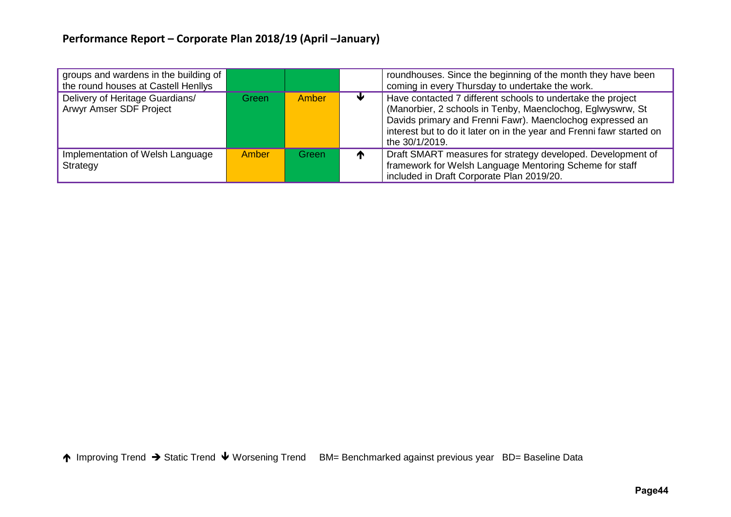| groups and wardens in the building of<br>the round houses at Castell Henllys |              |       |   | roundhouses. Since the beginning of the month they have been<br>coming in every Thursday to undertake the work.                                                                                                                                                                   |
|------------------------------------------------------------------------------|--------------|-------|---|-----------------------------------------------------------------------------------------------------------------------------------------------------------------------------------------------------------------------------------------------------------------------------------|
| Delivery of Heritage Guardians/<br>Arwyr Amser SDF Project                   | Green        | Amber |   | Have contacted 7 different schools to undertake the project<br>(Manorbier, 2 schools in Tenby, Maenclochog, Eglwyswrw, St<br>Davids primary and Frenni Fawr). Maenclochog expressed an<br>interest but to do it later on in the year and Frenni fawr started on<br>the 30/1/2019. |
| Implementation of Welsh Language<br>Strategy                                 | <b>Amber</b> | Green | T | Draft SMART measures for strategy developed. Development of<br>framework for Welsh Language Mentoring Scheme for staff<br>included in Draft Corporate Plan 2019/20.                                                                                                               |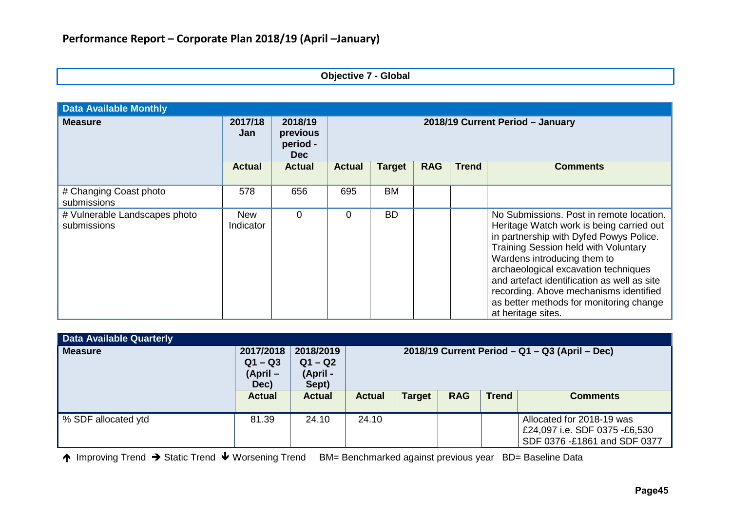|  | <b>Objective 7 - Global</b> |  |  |  |
|--|-----------------------------|--|--|--|
|--|-----------------------------|--|--|--|

| <b>Data Available Monthly</b>                |                         |                                               |                                  |               |            |              |                                                                                                                                                                                                                                                                                                                                                                                                          |  |  |
|----------------------------------------------|-------------------------|-----------------------------------------------|----------------------------------|---------------|------------|--------------|----------------------------------------------------------------------------------------------------------------------------------------------------------------------------------------------------------------------------------------------------------------------------------------------------------------------------------------------------------------------------------------------------------|--|--|
| <b>Measure</b>                               | 2017/18<br>Jan          | 2018/19<br>previous<br>period -<br><b>Dec</b> | 2018/19 Current Period - January |               |            |              |                                                                                                                                                                                                                                                                                                                                                                                                          |  |  |
|                                              | <b>Actual</b>           | <b>Actual</b>                                 | <b>Actual</b>                    | <b>Target</b> | <b>RAG</b> | <b>Trend</b> | <b>Comments</b>                                                                                                                                                                                                                                                                                                                                                                                          |  |  |
| # Changing Coast photo<br>submissions        | 578                     | 656                                           | 695                              | <b>BM</b>     |            |              |                                                                                                                                                                                                                                                                                                                                                                                                          |  |  |
| # Vulnerable Landscapes photo<br>submissions | <b>New</b><br>Indicator | $\mathbf 0$                                   | $\overline{0}$                   | <b>BD</b>     |            |              | No Submissions. Post in remote location.<br>Heritage Watch work is being carried out<br>in partnership with Dyfed Powys Police.<br>Training Session held with Voluntary<br>Wardens introducing them to<br>archaeological excavation techniques<br>and artefact identification as well as site<br>recording. Above mechanisms identified<br>as better methods for monitoring change<br>at heritage sites. |  |  |

| <b>Data Available Quarterly</b> |                                           |                                             |                                                  |               |            |              |                                                                                            |
|---------------------------------|-------------------------------------------|---------------------------------------------|--------------------------------------------------|---------------|------------|--------------|--------------------------------------------------------------------------------------------|
| Measure                         | 2017/2018<br>$Q1 - Q3$<br>(April-<br>Dec) | 2018/2019<br>$Q1 - Q2$<br>(April -<br>Sept) | $2018/19$ Current Period – Q1 – Q3 (April – Dec) |               |            |              |                                                                                            |
|                                 | <b>Actual</b>                             | <b>Actual</b>                               | <b>Actual</b>                                    | <b>Target</b> | <b>RAG</b> | <b>Trend</b> | <b>Comments</b>                                                                            |
| <u><b>SDF</b></u> allocated ytd | 81.39                                     | 24.10                                       | 24.10                                            |               |            |              | Allocated for 2018-19 was<br>£24,097 i.e. SDF 0375 -£6,530<br>SDF 0376 -£1861 and SDF 0377 |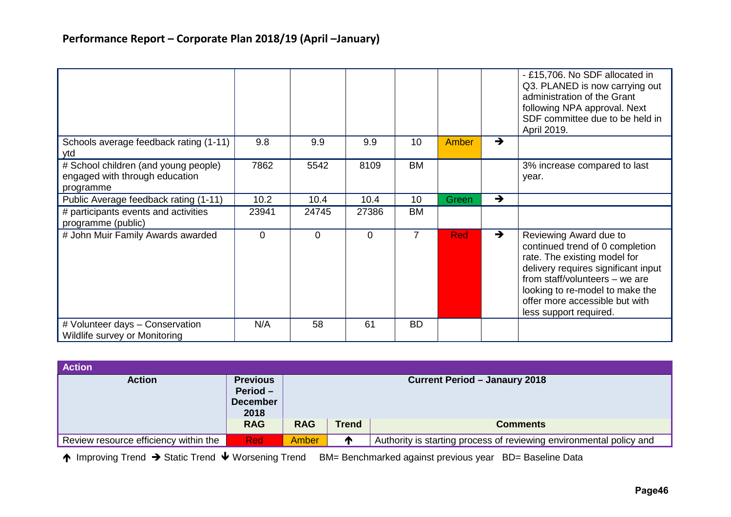|                                                                                     |          |          |       |                |            |               | - £15,706. No SDF allocated in<br>Q3. PLANED is now carrying out<br>administration of the Grant<br>following NPA approval. Next<br>SDF committee due to be held in<br>April 2019.                                                                                 |
|-------------------------------------------------------------------------------------|----------|----------|-------|----------------|------------|---------------|-------------------------------------------------------------------------------------------------------------------------------------------------------------------------------------------------------------------------------------------------------------------|
| Schools average feedback rating (1-11)<br>ytd                                       | 9.8      | 9.9      | 9.9   | 10             | Amber      | $\rightarrow$ |                                                                                                                                                                                                                                                                   |
| # School children (and young people)<br>engaged with through education<br>programme | 7862     | 5542     | 8109  | <b>BM</b>      |            |               | 3% increase compared to last<br>year.                                                                                                                                                                                                                             |
| Public Average feedback rating (1-11)                                               | 10.2     | 10.4     | 10.4  | 10             | Green      | $\rightarrow$ |                                                                                                                                                                                                                                                                   |
| # participants events and activities<br>programme (public)                          | 23941    | 24745    | 27386 | <b>BM</b>      |            |               |                                                                                                                                                                                                                                                                   |
| # John Muir Family Awards awarded                                                   | $\Omega$ | $\Omega$ | 0     | $\overline{7}$ | <b>Red</b> | $\rightarrow$ | Reviewing Award due to<br>continued trend of 0 completion<br>rate. The existing model for<br>delivery requires significant input<br>from staff/volunteers - we are<br>looking to re-model to make the<br>offer more accessible but with<br>less support required. |
| # Volunteer days - Conservation<br>Wildlife survey or Monitoring                    | N/A      | 58       | 61    | <b>BD</b>      |            |               |                                                                                                                                                                                                                                                                   |

| <b>Action</b>                         |                                                          |                                      |              |                                                                     |  |  |  |
|---------------------------------------|----------------------------------------------------------|--------------------------------------|--------------|---------------------------------------------------------------------|--|--|--|
| <b>Action</b>                         | <b>Previous</b><br>$Period -$<br><b>December</b><br>2018 | <b>Current Period - Janaury 2018</b> |              |                                                                     |  |  |  |
|                                       | <b>RAG</b>                                               | <b>RAG</b>                           | <b>Trend</b> | <b>Comments</b>                                                     |  |  |  |
| Review resource efficiency within the | <b>Red</b>                                               | Amber                                |              | Authority is starting process of reviewing environmental policy and |  |  |  |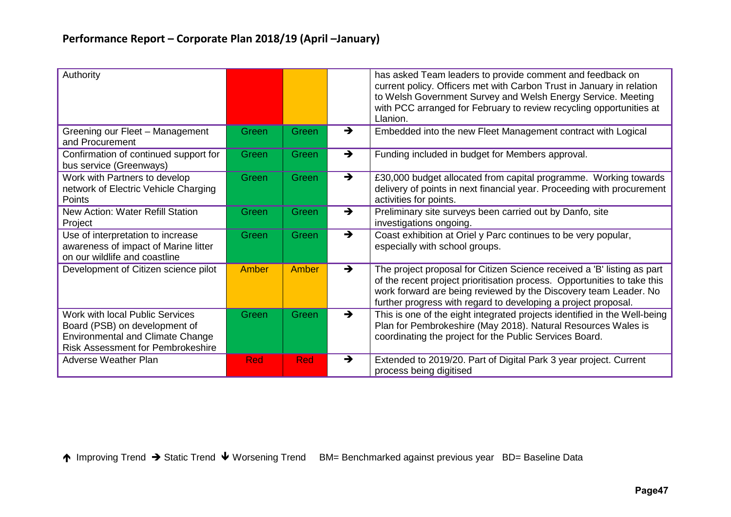| Authority                                                                                                                                               |            |            |               | has asked Team leaders to provide comment and feedback on<br>current policy. Officers met with Carbon Trust in January in relation<br>to Welsh Government Survey and Welsh Energy Service. Meeting<br>with PCC arranged for February to review recycling opportunities at<br>Llanion.     |
|---------------------------------------------------------------------------------------------------------------------------------------------------------|------------|------------|---------------|-------------------------------------------------------------------------------------------------------------------------------------------------------------------------------------------------------------------------------------------------------------------------------------------|
| Greening our Fleet - Management<br>and Procurement                                                                                                      | Green      | Green      | $\rightarrow$ | Embedded into the new Fleet Management contract with Logical                                                                                                                                                                                                                              |
| Confirmation of continued support for<br>bus service (Greenways)                                                                                        | Green      | Green      | $\rightarrow$ | Funding included in budget for Members approval.                                                                                                                                                                                                                                          |
| Work with Partners to develop<br>network of Electric Vehicle Charging<br>Points                                                                         | Green      | Green      | $\rightarrow$ | £30,000 budget allocated from capital programme. Working towards<br>delivery of points in next financial year. Proceeding with procurement<br>activities for points.                                                                                                                      |
| <b>New Action: Water Refill Station</b><br>Project                                                                                                      | Green      | Green      | $\rightarrow$ | Preliminary site surveys been carried out by Danfo, site<br>investigations ongoing.                                                                                                                                                                                                       |
| Use of interpretation to increase<br>awareness of impact of Marine litter<br>on our wildlife and coastline                                              | Green      | Green      | $\rightarrow$ | Coast exhibition at Oriel y Parc continues to be very popular,<br>especially with school groups.                                                                                                                                                                                          |
| Development of Citizen science pilot                                                                                                                    | Amber      | Amber      | $\rightarrow$ | The project proposal for Citizen Science received a 'B' listing as part<br>of the recent project prioritisation process. Opportunities to take this<br>work forward are being reviewed by the Discovery team Leader. No<br>further progress with regard to developing a project proposal. |
| Work with local Public Services<br>Board (PSB) on development of<br><b>Environmental and Climate Change</b><br><b>Risk Assessment for Pembrokeshire</b> | Green      | Green      | $\rightarrow$ | This is one of the eight integrated projects identified in the Well-being<br>Plan for Pembrokeshire (May 2018). Natural Resources Wales is<br>coordinating the project for the Public Services Board.                                                                                     |
| <b>Adverse Weather Plan</b>                                                                                                                             | <b>Red</b> | <b>Red</b> | $\rightarrow$ | Extended to 2019/20. Part of Digital Park 3 year project. Current<br>process being digitised                                                                                                                                                                                              |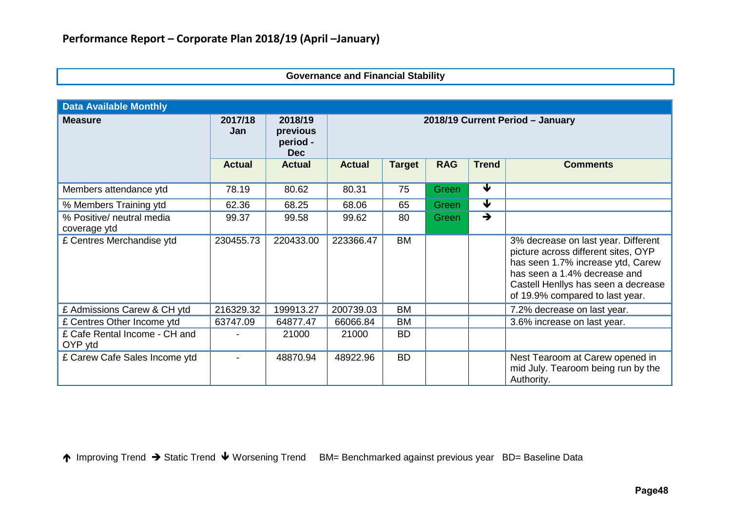### **Governance and Financial Stability**

| <b>Data Available Monthly</b>             |                |                                               |                                  |               |            |                         |                                                                                                                                                                                                                           |  |
|-------------------------------------------|----------------|-----------------------------------------------|----------------------------------|---------------|------------|-------------------------|---------------------------------------------------------------------------------------------------------------------------------------------------------------------------------------------------------------------------|--|
| <b>Measure</b>                            | 2017/18<br>Jan | 2018/19<br>previous<br>period -<br><b>Dec</b> | 2018/19 Current Period - January |               |            |                         |                                                                                                                                                                                                                           |  |
|                                           | <b>Actual</b>  | <b>Actual</b>                                 | <b>Actual</b>                    | <b>Target</b> | <b>RAG</b> | <b>Trend</b>            | <b>Comments</b>                                                                                                                                                                                                           |  |
| Members attendance ytd                    | 78.19          | 80.62                                         | 80.31                            | 75            | Green      | $\overline{\textbf{v}}$ |                                                                                                                                                                                                                           |  |
| % Members Training ytd                    | 62.36          | 68.25                                         | 68.06                            | 65            | Green      | $\overline{\textbf{v}}$ |                                                                                                                                                                                                                           |  |
| % Positive/ neutral media<br>coverage ytd | 99.37          | 99.58                                         | 99.62                            | 80            | Green      | $\rightarrow$           |                                                                                                                                                                                                                           |  |
| £ Centres Merchandise ytd                 | 230455.73      | 220433.00                                     | 223366.47                        | <b>BM</b>     |            |                         | 3% decrease on last year. Different<br>picture across different sites, OYP<br>has seen 1.7% increase ytd, Carew<br>has seen a 1.4% decrease and<br>Castell Henllys has seen a decrease<br>of 19.9% compared to last year. |  |
| £ Admissions Carew & CH ytd               | 216329.32      | 199913.27                                     | 200739.03                        | <b>BM</b>     |            |                         | 7.2% decrease on last year.                                                                                                                                                                                               |  |
| £ Centres Other Income ytd                | 63747.09       | 64877.47                                      | 66066.84                         | BM            |            |                         | 3.6% increase on last year.                                                                                                                                                                                               |  |
| £ Cafe Rental Income - CH and<br>OYP ytd  |                | 21000                                         | 21000                            | <b>BD</b>     |            |                         |                                                                                                                                                                                                                           |  |
| £ Carew Cafe Sales Income ytd             |                | 48870.94                                      | 48922.96                         | <b>BD</b>     |            |                         | Nest Tearoom at Carew opened in<br>mid July. Tearoom being run by the<br>Authority.                                                                                                                                       |  |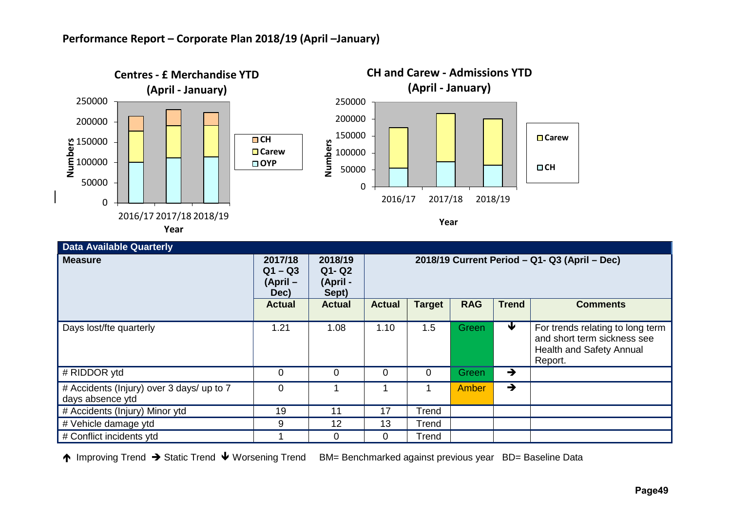

| <b>Data Available Quarterly</b>                               |                                          |                                           |                                               |               |              |               |                                                                                                        |  |
|---------------------------------------------------------------|------------------------------------------|-------------------------------------------|-----------------------------------------------|---------------|--------------|---------------|--------------------------------------------------------------------------------------------------------|--|
| <b>Measure</b>                                                | 2017/18<br>$Q1 - Q3$<br>(April –<br>Dec) | 2018/19<br>$Q1 - Q2$<br>(April -<br>Sept) | 2018/19 Current Period - Q1- Q3 (April - Dec) |               |              |               |                                                                                                        |  |
|                                                               | <b>Actual</b>                            | <b>Actual</b>                             | <b>Actual</b>                                 | <b>Target</b> | <b>RAG</b>   | <b>Trend</b>  | <b>Comments</b>                                                                                        |  |
| Days lost/fte quarterly                                       | 1.21                                     | 1.08                                      | 1.10                                          | 1.5           | <b>Green</b> | ₩             | For trends relating to long term<br>and short term sickness see<br>Health and Safety Annual<br>Report. |  |
| # RIDDOR ytd                                                  | 0                                        | $\overline{0}$                            | 0                                             | 0             | Green/       | $\rightarrow$ |                                                                                                        |  |
| # Accidents (Injury) over 3 days/ up to 7<br>days absence ytd | $\overline{0}$                           |                                           |                                               |               | Amber        | $\rightarrow$ |                                                                                                        |  |
| # Accidents (Injury) Minor ytd                                | 19                                       | 11                                        | 17                                            | Trend         |              |               |                                                                                                        |  |
| # Vehicle damage ytd                                          | 9                                        | 12                                        | 13                                            | Trend         |              |               |                                                                                                        |  |
| # Conflict incidents ytd                                      |                                          | $\Omega$                                  | 0                                             | Trend         |              |               |                                                                                                        |  |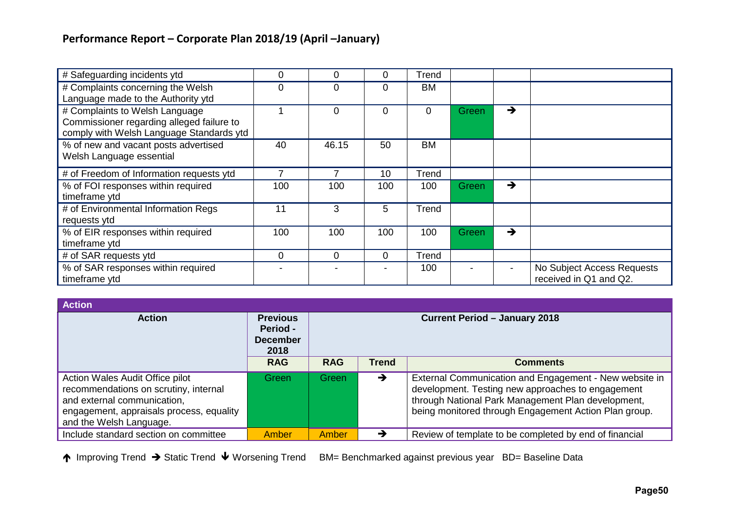| # Safeguarding incidents ytd                                                                                            | 0        | 0     | 0               | Trend     |       |               |                                                      |
|-------------------------------------------------------------------------------------------------------------------------|----------|-------|-----------------|-----------|-------|---------------|------------------------------------------------------|
| # Complaints concerning the Welsh<br>Language made to the Authority ytd                                                 | $\Omega$ | 0     | $\Omega$        | <b>BM</b> |       |               |                                                      |
| # Complaints to Welsh Language<br>Commissioner regarding alleged failure to<br>comply with Welsh Language Standards ytd |          | 0     | $\Omega$        | 0         | Green | $\rightarrow$ |                                                      |
| % of new and vacant posts advertised<br>Welsh Language essential                                                        | 40       | 46.15 | 50              | <b>BM</b> |       |               |                                                      |
| # of Freedom of Information requests ytd                                                                                |          |       | 10 <sup>°</sup> | Trend     |       |               |                                                      |
| % of FOI responses within required<br>timeframe ytd                                                                     | 100      | 100   | 100             | 100       | Green | →             |                                                      |
| # of Environmental Information Regs<br>requests ytd                                                                     | 11       | 3     | 5               | Trend     |       |               |                                                      |
| % of EIR responses within required<br>timeframe ytd                                                                     | 100      | 100   | 100             | 100       | Green | $\rightarrow$ |                                                      |
| # of SAR requests ytd                                                                                                   | $\Omega$ | 0     | $\Omega$        | Trend     |       |               |                                                      |
| % of SAR responses within required<br>timeframe ytd                                                                     |          |       |                 | 100       |       |               | No Subject Access Requests<br>received in Q1 and Q2. |

| <b>Action</b>                                                                                                                                                                  |                                                               |                                               |   |                                                                                                                                                                                                                            |  |  |  |
|--------------------------------------------------------------------------------------------------------------------------------------------------------------------------------|---------------------------------------------------------------|-----------------------------------------------|---|----------------------------------------------------------------------------------------------------------------------------------------------------------------------------------------------------------------------------|--|--|--|
| <b>Action</b>                                                                                                                                                                  | <b>Previous</b><br><b>Period -</b><br><b>December</b><br>2018 | <b>Current Period - January 2018</b>          |   |                                                                                                                                                                                                                            |  |  |  |
|                                                                                                                                                                                | <b>RAG</b>                                                    | <b>RAG</b><br><b>Trend</b><br><b>Comments</b> |   |                                                                                                                                                                                                                            |  |  |  |
| Action Wales Audit Office pilot<br>recommendations on scrutiny, internal<br>and external communication,<br>engagement, appraisals process, equality<br>and the Welsh Language. | Green                                                         | Green                                         | → | External Communication and Engagement - New website in<br>development. Testing new approaches to engagement<br>through National Park Management Plan development,<br>being monitored through Engagement Action Plan group. |  |  |  |
| Include standard section on committee                                                                                                                                          | <b>Amber</b>                                                  | Amber                                         |   | Review of template to be completed by end of financial                                                                                                                                                                     |  |  |  |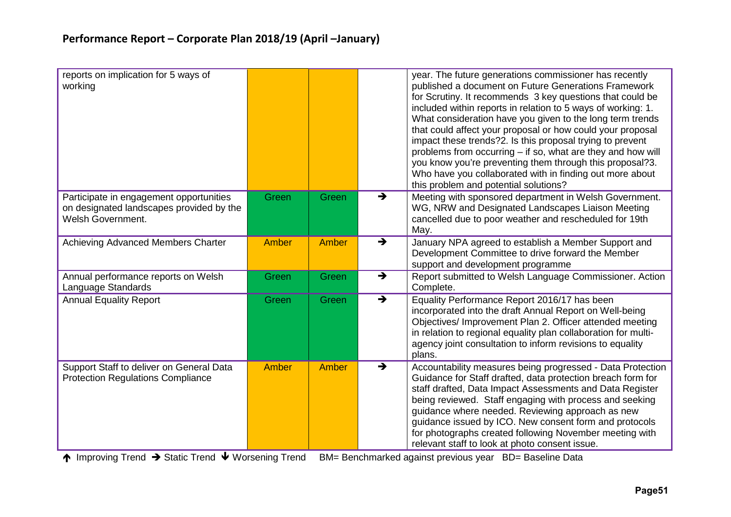| reports on implication for 5 ways of<br>working                                                                 |       |       |               | year. The future generations commissioner has recently<br>published a document on Future Generations Framework<br>for Scrutiny. It recommends 3 key questions that could be<br>included within reports in relation to 5 ways of working: 1.<br>What consideration have you given to the long term trends<br>that could affect your proposal or how could your proposal<br>impact these trends?2. Is this proposal trying to prevent<br>problems from occurring – if so, what are they and how will<br>you know you're preventing them through this proposal?3.<br>Who have you collaborated with in finding out more about<br>this problem and potential solutions? |
|-----------------------------------------------------------------------------------------------------------------|-------|-------|---------------|---------------------------------------------------------------------------------------------------------------------------------------------------------------------------------------------------------------------------------------------------------------------------------------------------------------------------------------------------------------------------------------------------------------------------------------------------------------------------------------------------------------------------------------------------------------------------------------------------------------------------------------------------------------------|
| Participate in engagement opportunities<br>on designated landscapes provided by the<br><b>Welsh Government.</b> | Green | Green | $\rightarrow$ | Meeting with sponsored department in Welsh Government.<br>WG, NRW and Designated Landscapes Liaison Meeting<br>cancelled due to poor weather and rescheduled for 19th<br>May.                                                                                                                                                                                                                                                                                                                                                                                                                                                                                       |
| Achieving Advanced Members Charter                                                                              | Amber | Amber | $\rightarrow$ | January NPA agreed to establish a Member Support and<br>Development Committee to drive forward the Member<br>support and development programme                                                                                                                                                                                                                                                                                                                                                                                                                                                                                                                      |
| Annual performance reports on Welsh<br>Language Standards                                                       | Green | Green | $\rightarrow$ | Report submitted to Welsh Language Commissioner. Action<br>Complete.                                                                                                                                                                                                                                                                                                                                                                                                                                                                                                                                                                                                |
| <b>Annual Equality Report</b>                                                                                   | Green | Green | $\rightarrow$ | Equality Performance Report 2016/17 has been<br>incorporated into the draft Annual Report on Well-being<br>Objectives/ Improvement Plan 2. Officer attended meeting<br>in relation to regional equality plan collaboration for multi-<br>agency joint consultation to inform revisions to equality<br>plans.                                                                                                                                                                                                                                                                                                                                                        |
| Support Staff to deliver on General Data<br><b>Protection Regulations Compliance</b>                            | Amber | Amber | $\rightarrow$ | Accountability measures being progressed - Data Protection<br>Guidance for Staff drafted, data protection breach form for<br>staff drafted, Data Impact Assessments and Data Register<br>being reviewed. Staff engaging with process and seeking<br>guidance where needed. Reviewing approach as new<br>guidance issued by ICO. New consent form and protocols<br>for photographs created following November meeting with<br>relevant staff to look at photo consent issue.                                                                                                                                                                                         |